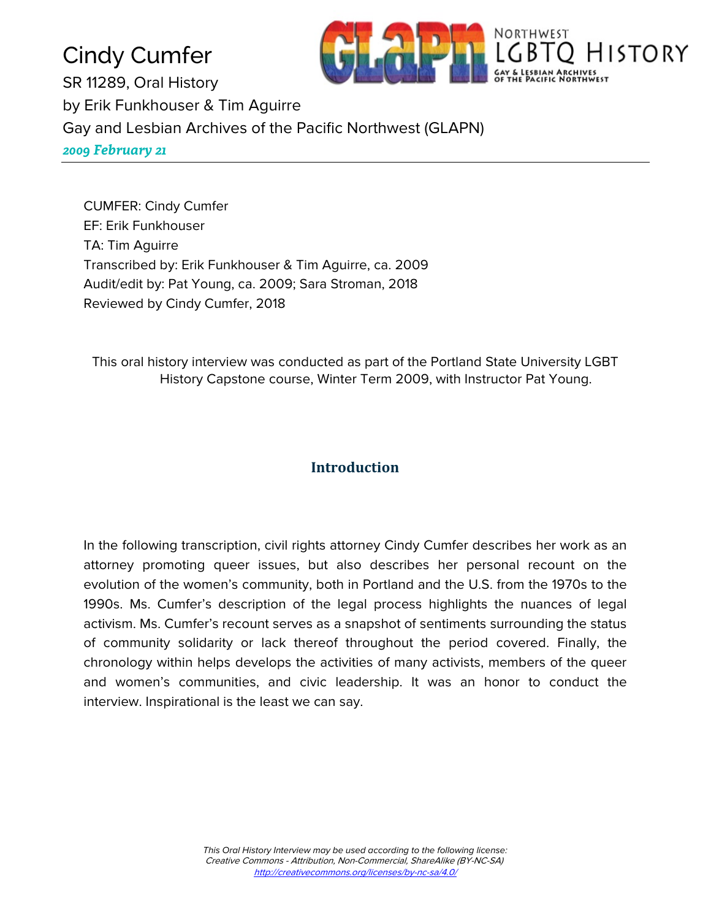Cindy Cumfer SR 11289, Oral History by Erik Funkhouser & Tim Aguirre Gay and Lesbian Archives of the Pacific Northwest (GLAPN) *2009 February 21*

CUMFER: Cindy Cumfer EF: Erik Funkhouser TA: Tim Aguirre Transcribed by: Erik Funkhouser & Tim Aguirre, ca. 2009 Audit/edit by: Pat Young, ca. 2009; Sara Stroman, 2018 Reviewed by Cindy Cumfer, 2018

This oral history interview was conducted as part of the Portland State University LGBT History Capstone course, Winter Term 2009, with Instructor Pat Young.

NORTHWEST

HISTORY

# **Introduction**

In the following transcription, civil rights attorney Cindy Cumfer describes her work as an attorney promoting queer issues, but also describes her personal recount on the evolution of the women's community, both in Portland and the U.S. from the 1970s to the 1990s. Ms. Cumfer's description of the legal process highlights the nuances of legal activism. Ms. Cumfer's recount serves as a snapshot of sentiments surrounding the status of community solidarity or lack thereof throughout the period covered. Finally, the chronology within helps develops the activities of many activists, members of the queer and women's communities, and civic leadership. It was an honor to conduct the interview. Inspirational is the least we can say.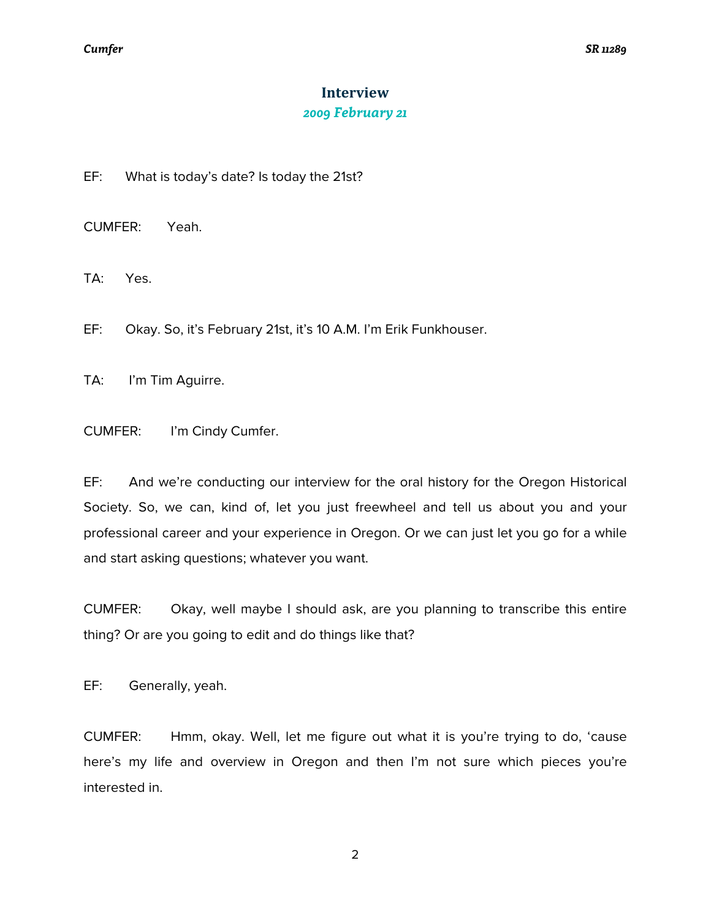# **Interview** *2009 February 21*

EF: What is today's date? Is today the 21st?

CUMFER: Yeah.

TA: Yes.

EF: Okay. So, it's February 21st, it's 10 A.M. I'm Erik Funkhouser.

TA: I'm Tim Aguirre.

CUMFER: I'm Cindy Cumfer.

EF: And we're conducting our interview for the oral history for the Oregon Historical Society. So, we can, kind of, let you just freewheel and tell us about you and your professional career and your experience in Oregon. Or we can just let you go for a while and start asking questions; whatever you want.

CUMFER: Okay, well maybe I should ask, are you planning to transcribe this entire thing? Or are you going to edit and do things like that?

EF: Generally, yeah.

CUMFER: Hmm, okay. Well, let me figure out what it is you're trying to do, 'cause here's my life and overview in Oregon and then I'm not sure which pieces you're interested in.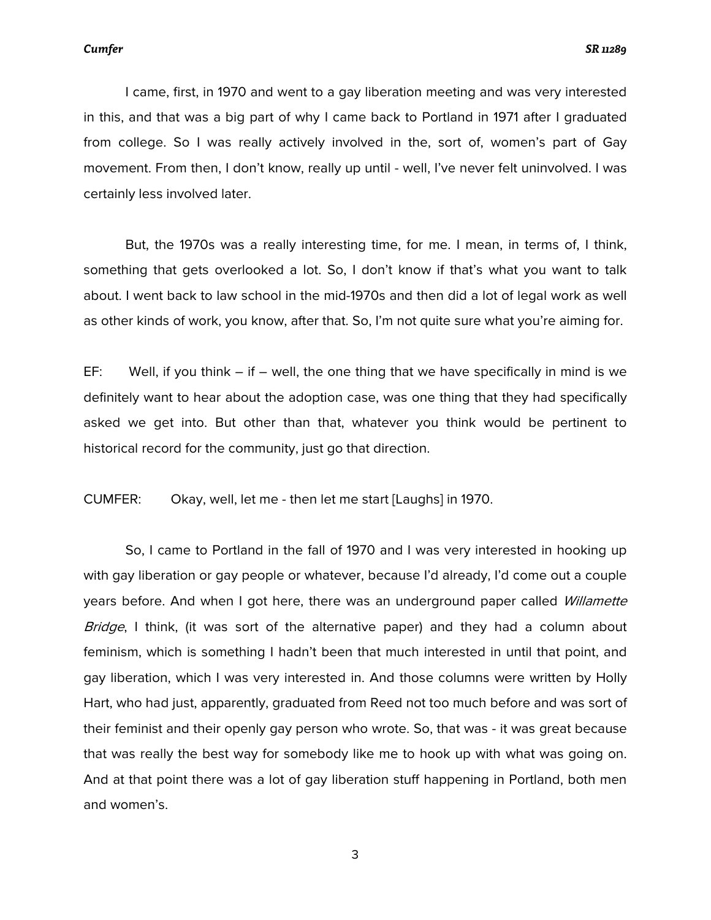I came, first, in 1970 and went to a gay liberation meeting and was very interested in this, and that was a big part of why I came back to Portland in 1971 after I graduated from college. So I was really actively involved in the, sort of, women's part of Gay movement. From then, I don't know, really up until - well, I've never felt uninvolved. I was certainly less involved later.

But, the 1970s was a really interesting time, for me. I mean, in terms of, I think, something that gets overlooked a lot. So, I don't know if that's what you want to talk about. I went back to law school in the mid-1970s and then did a lot of legal work as well as other kinds of work, you know, after that. So, I'm not quite sure what you're aiming for.

EF: Well, if you think  $-$  if  $-$  well, the one thing that we have specifically in mind is we definitely want to hear about the adoption case, was one thing that they had specifically asked we get into. But other than that, whatever you think would be pertinent to historical record for the community, just go that direction.

CUMFER: Okay, well, let me - then let me start [Laughs] in 1970.

So, I came to Portland in the fall of 1970 and I was very interested in hooking up with gay liberation or gay people or whatever, because I'd already, I'd come out a couple years before. And when I got here, there was an underground paper called Willamette Bridge, I think, (it was sort of the alternative paper) and they had a column about feminism, which is something I hadn't been that much interested in until that point, and gay liberation, which I was very interested in. And those columns were written by Holly Hart, who had just, apparently, graduated from Reed not too much before and was sort of their feminist and their openly gay person who wrote. So, that was - it was great because that was really the best way for somebody like me to hook up with what was going on. And at that point there was a lot of gay liberation stuff happening in Portland, both men and women's.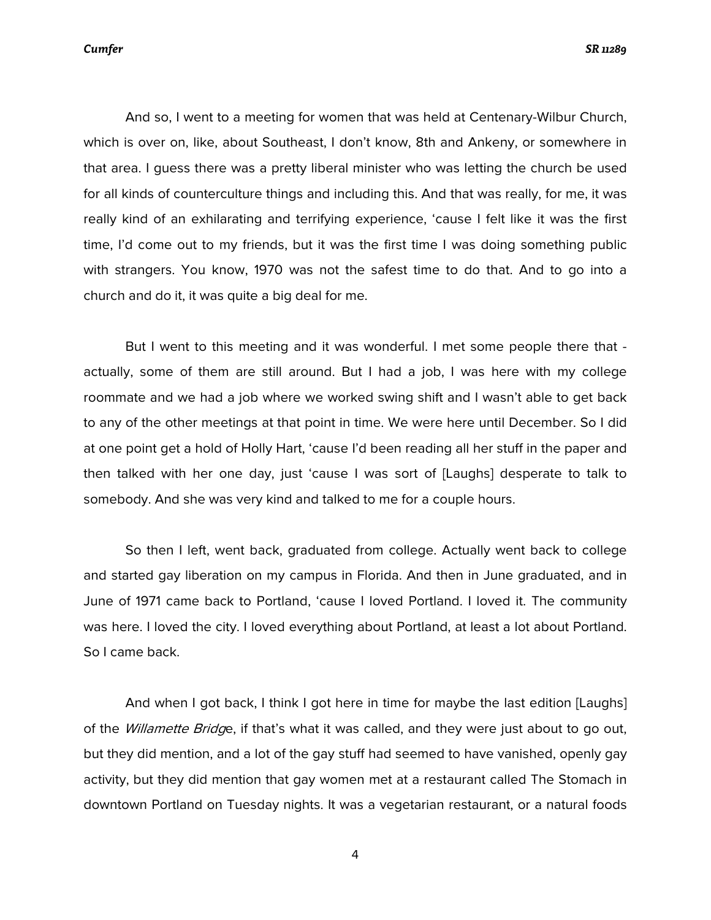*Cumfer SR 11289*

And so, I went to a meeting for women that was held at Centenary-Wilbur Church, which is over on, like, about Southeast, I don't know, 8th and Ankeny, or somewhere in that area. I guess there was a pretty liberal minister who was letting the church be used for all kinds of counterculture things and including this. And that was really, for me, it was really kind of an exhilarating and terrifying experience, 'cause I felt like it was the first time, I'd come out to my friends, but it was the first time I was doing something public with strangers. You know, 1970 was not the safest time to do that. And to go into a church and do it, it was quite a big deal for me.

But I went to this meeting and it was wonderful. I met some people there that actually, some of them are still around. But I had a job, I was here with my college roommate and we had a job where we worked swing shift and I wasn't able to get back to any of the other meetings at that point in time. We were here until December. So I did at one point get a hold of Holly Hart, 'cause I'd been reading all her stuff in the paper and then talked with her one day, just 'cause I was sort of [Laughs] desperate to talk to somebody. And she was very kind and talked to me for a couple hours.

So then I left, went back, graduated from college. Actually went back to college and started gay liberation on my campus in Florida. And then in June graduated, and in June of 1971 came back to Portland, 'cause I loved Portland. I loved it. The community was here. I loved the city. I loved everything about Portland, at least a lot about Portland. So I came back.

And when I got back, I think I got here in time for maybe the last edition [Laughs] of the *Willamette Bridg*e, if that's what it was called, and they were just about to go out, but they did mention, and a lot of the gay stuff had seemed to have vanished, openly gay activity, but they did mention that gay women met at a restaurant called The Stomach in downtown Portland on Tuesday nights. It was a vegetarian restaurant, or a natural foods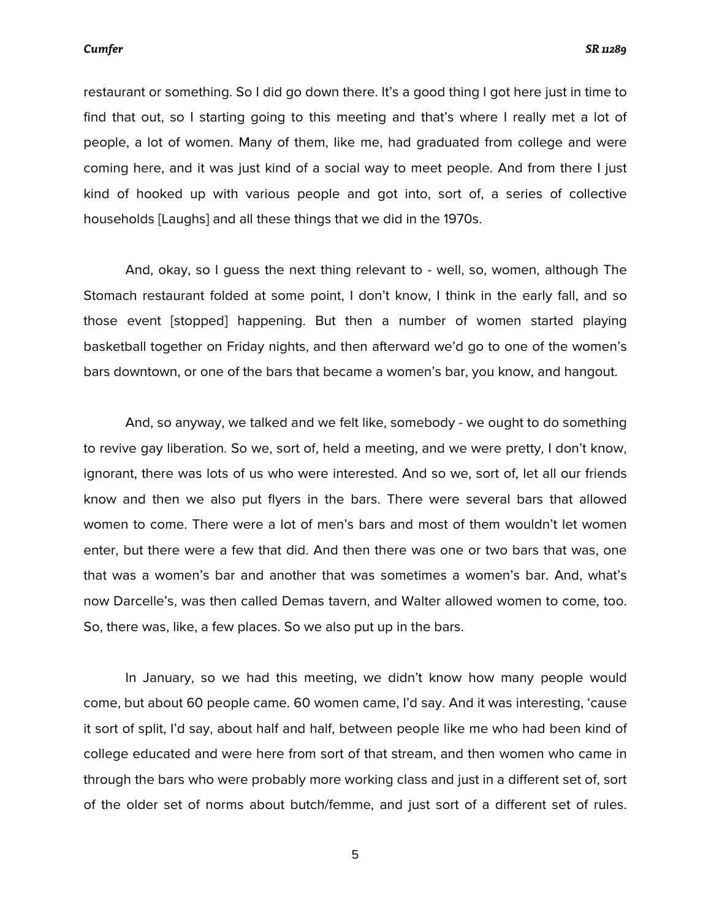restaurant or something. So I did go down there. It's a good thing I got here just in time to find that out, so I starting going to this meeting and that's where I really met a lot of people, a lot of women. Many of them, like me, had graduated from college and were coming here, and it was just kind of a social way to meet people. And from there I just kind of hooked up with various people and got into, sort of, a series of collective households [Laughs] and all these things that we did in the 1970s.

And, okay, so I guess the next thing relevant to - well, so, women, although The Stomach restaurant folded at some point, I don't know, I think in the early fall, and so those event [stopped] happening. But then a number of women started playing basketball together on Friday nights, and then afterward we'd go to one of the women's bars downtown, or one of the bars that became a women's bar, you know, and hangout.

And, so anyway, we talked and we felt like, somebody - we ought to do something to revive gay liberation. So we, sort of, held a meeting, and we were pretty, I don't know, ignorant, there was lots of us who were interested. And so we, sort of, let all our friends know and then we also put flyers in the bars. There were several bars that allowed women to come. There were a lot of men's bars and most of them wouldn't let women enter, but there were a few that did. And then there was one or two bars that was, one that was a women's bar and another that was sometimes a women's bar. And, what's now Darcelle's, was then called Demas tavern, and Walter allowed women to come, too. So, there was, like, a few places. So we also put up in the bars.

In January, so we had this meeting, we didn't know how many people would come, but about 60 people came. 60 women came, I'd say. And it was interesting, 'cause it sort of split, I'd say, about half and half, between people like me who had been kind of college educated and were here from sort of that stream, and then women who came in through the bars who were probably more working class and just in a different set of, sort of the older set of norms about butch/femme, and just sort of a different set of rules.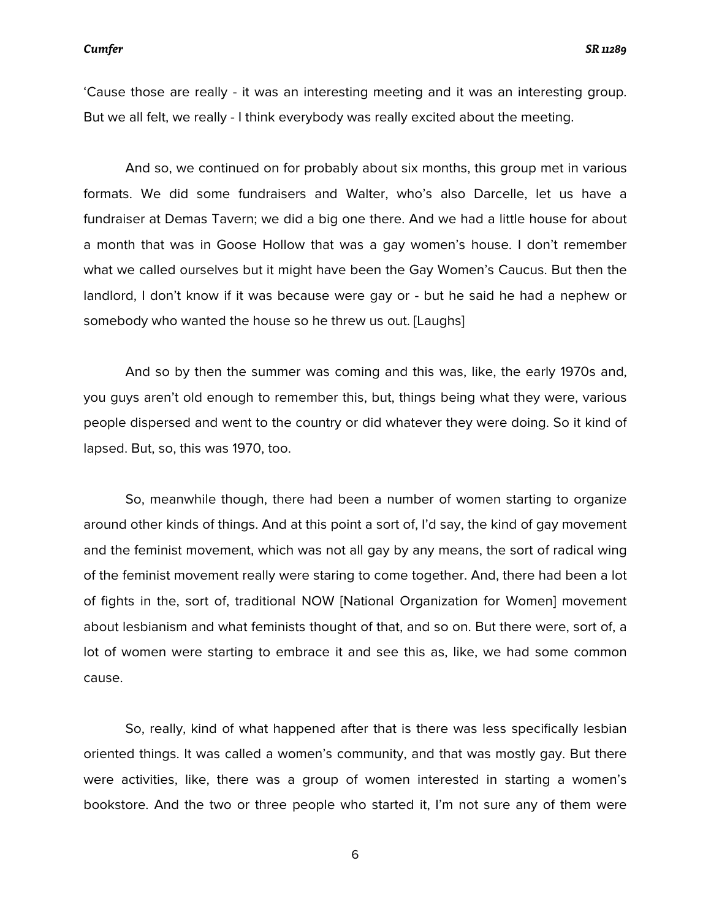'Cause those are really - it was an interesting meeting and it was an interesting group. But we all felt, we really - I think everybody was really excited about the meeting.

And so, we continued on for probably about six months, this group met in various formats. We did some fundraisers and Walter, who's also Darcelle, let us have a fundraiser at Demas Tavern; we did a big one there. And we had a little house for about a month that was in Goose Hollow that was a gay women's house. I don't remember what we called ourselves but it might have been the Gay Women's Caucus. But then the landlord, I don't know if it was because were gay or - but he said he had a nephew or somebody who wanted the house so he threw us out. [Laughs]

And so by then the summer was coming and this was, like, the early 1970s and, you guys aren't old enough to remember this, but, things being what they were, various people dispersed and went to the country or did whatever they were doing. So it kind of lapsed. But, so, this was 1970, too.

So, meanwhile though, there had been a number of women starting to organize around other kinds of things. And at this point a sort of, I'd say, the kind of gay movement and the feminist movement, which was not all gay by any means, the sort of radical wing of the feminist movement really were staring to come together. And, there had been a lot of fights in the, sort of, traditional NOW [National Organization for Women] movement about lesbianism and what feminists thought of that, and so on. But there were, sort of, a lot of women were starting to embrace it and see this as, like, we had some common cause.

So, really, kind of what happened after that is there was less specifically lesbian oriented things. It was called a women's community, and that was mostly gay. But there were activities, like, there was a group of women interested in starting a women's bookstore. And the two or three people who started it, I'm not sure any of them were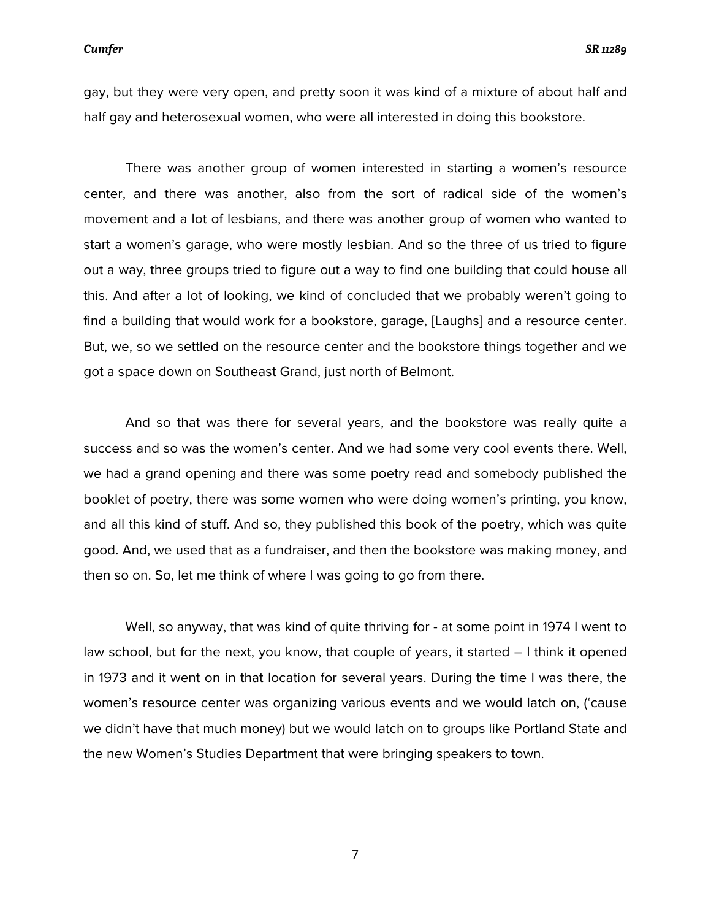gay, but they were very open, and pretty soon it was kind of a mixture of about half and half gay and heterosexual women, who were all interested in doing this bookstore.

There was another group of women interested in starting a women's resource center, and there was another, also from the sort of radical side of the women's movement and a lot of lesbians, and there was another group of women who wanted to start a women's garage, who were mostly lesbian. And so the three of us tried to figure out a way, three groups tried to figure out a way to find one building that could house all this. And after a lot of looking, we kind of concluded that we probably weren't going to find a building that would work for a bookstore, garage, [Laughs] and a resource center. But, we, so we settled on the resource center and the bookstore things together and we got a space down on Southeast Grand, just north of Belmont.

And so that was there for several years, and the bookstore was really quite a success and so was the women's center. And we had some very cool events there. Well, we had a grand opening and there was some poetry read and somebody published the booklet of poetry, there was some women who were doing women's printing, you know, and all this kind of stuff. And so, they published this book of the poetry, which was quite good. And, we used that as a fundraiser, and then the bookstore was making money, and then so on. So, let me think of where I was going to go from there.

Well, so anyway, that was kind of quite thriving for - at some point in 1974 I went to law school, but for the next, you know, that couple of years, it started – I think it opened in 1973 and it went on in that location for several years. During the time I was there, the women's resource center was organizing various events and we would latch on, ('cause we didn't have that much money) but we would latch on to groups like Portland State and the new Women's Studies Department that were bringing speakers to town.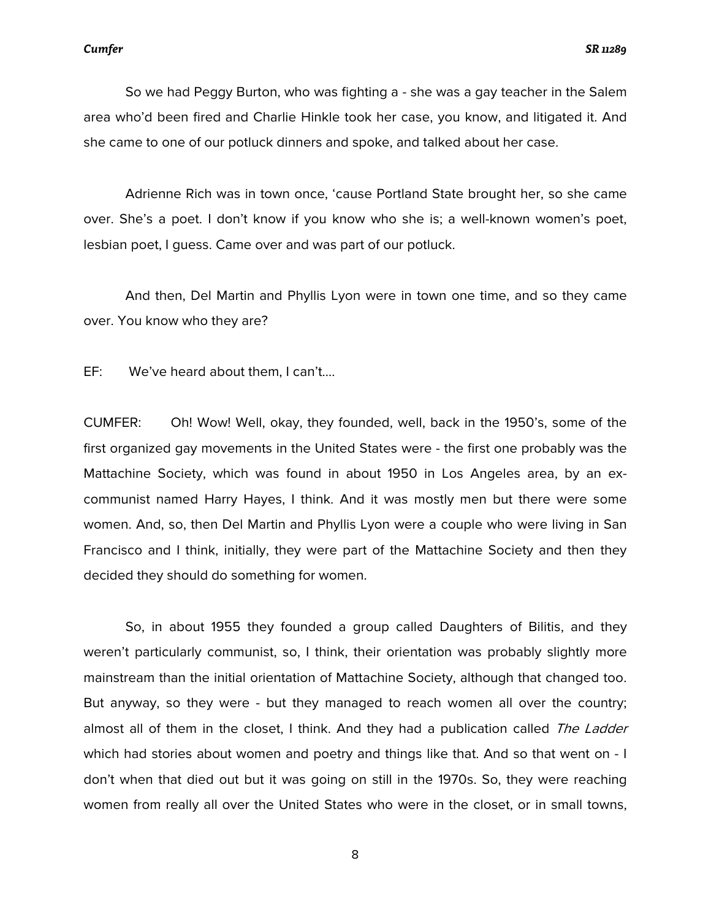So we had Peggy Burton, who was fighting a - she was a gay teacher in the Salem area who'd been fired and Charlie Hinkle took her case, you know, and litigated it. And she came to one of our potluck dinners and spoke, and talked about her case.

Adrienne Rich was in town once, 'cause Portland State brought her, so she came over. She's a poet. I don't know if you know who she is; a well-known women's poet, lesbian poet, I guess. Came over and was part of our potluck.

And then, Del Martin and Phyllis Lyon were in town one time, and so they came over. You know who they are?

EF: We've heard about them, I can't….

CUMFER: Oh! Wow! Well, okay, they founded, well, back in the 1950's, some of the first organized gay movements in the United States were - the first one probably was the Mattachine Society, which was found in about 1950 in Los Angeles area, by an excommunist named Harry Hayes, I think. And it was mostly men but there were some women. And, so, then Del Martin and Phyllis Lyon were a couple who were living in San Francisco and I think, initially, they were part of the Mattachine Society and then they decided they should do something for women.

So, in about 1955 they founded a group called Daughters of Bilitis, and they weren't particularly communist, so, I think, their orientation was probably slightly more mainstream than the initial orientation of Mattachine Society, although that changed too. But anyway, so they were - but they managed to reach women all over the country; almost all of them in the closet, I think. And they had a publication called The Ladder which had stories about women and poetry and things like that. And so that went on - I don't when that died out but it was going on still in the 1970s. So, they were reaching women from really all over the United States who were in the closet, or in small towns,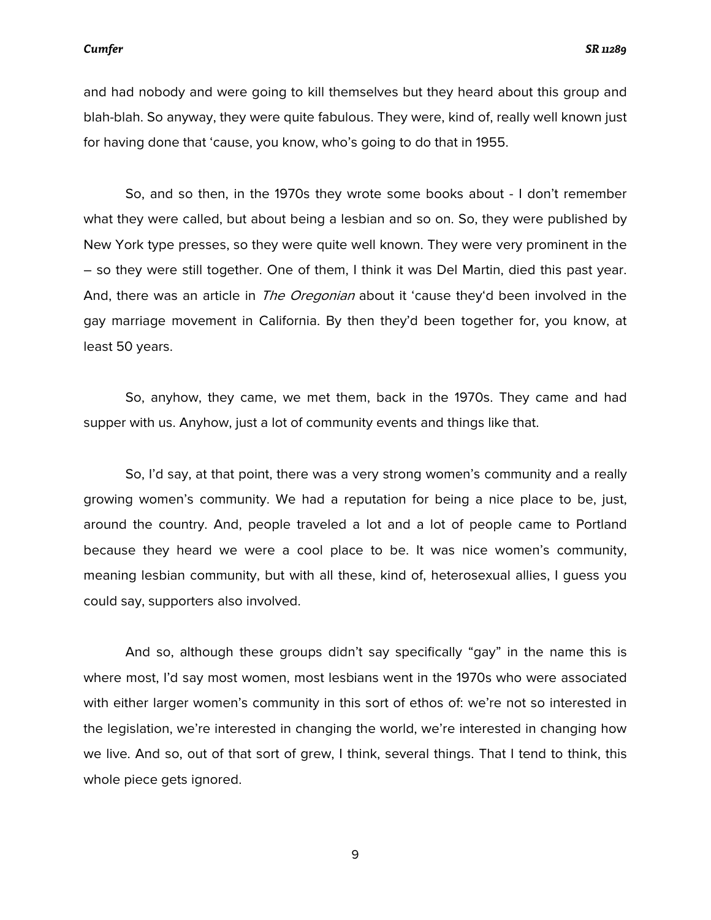*Cumfer SR 11289*

and had nobody and were going to kill themselves but they heard about this group and blah-blah. So anyway, they were quite fabulous. They were, kind of, really well known just for having done that 'cause, you know, who's going to do that in 1955.

So, and so then, in the 1970s they wrote some books about - I don't remember what they were called, but about being a lesbian and so on. So, they were published by New York type presses, so they were quite well known. They were very prominent in the – so they were still together. One of them, I think it was Del Martin, died this past year. And, there was an article in *The Oregonian* about it 'cause they'd been involved in the gay marriage movement in California. By then they'd been together for, you know, at least 50 years.

So, anyhow, they came, we met them, back in the 1970s. They came and had supper with us. Anyhow, just a lot of community events and things like that.

So, I'd say, at that point, there was a very strong women's community and a really growing women's community. We had a reputation for being a nice place to be, just, around the country. And, people traveled a lot and a lot of people came to Portland because they heard we were a cool place to be. It was nice women's community, meaning lesbian community, but with all these, kind of, heterosexual allies, I guess you could say, supporters also involved.

And so, although these groups didn't say specifically "gay" in the name this is where most, I'd say most women, most lesbians went in the 1970s who were associated with either larger women's community in this sort of ethos of: we're not so interested in the legislation, we're interested in changing the world, we're interested in changing how we live. And so, out of that sort of grew, I think, several things. That I tend to think, this whole piece gets ignored.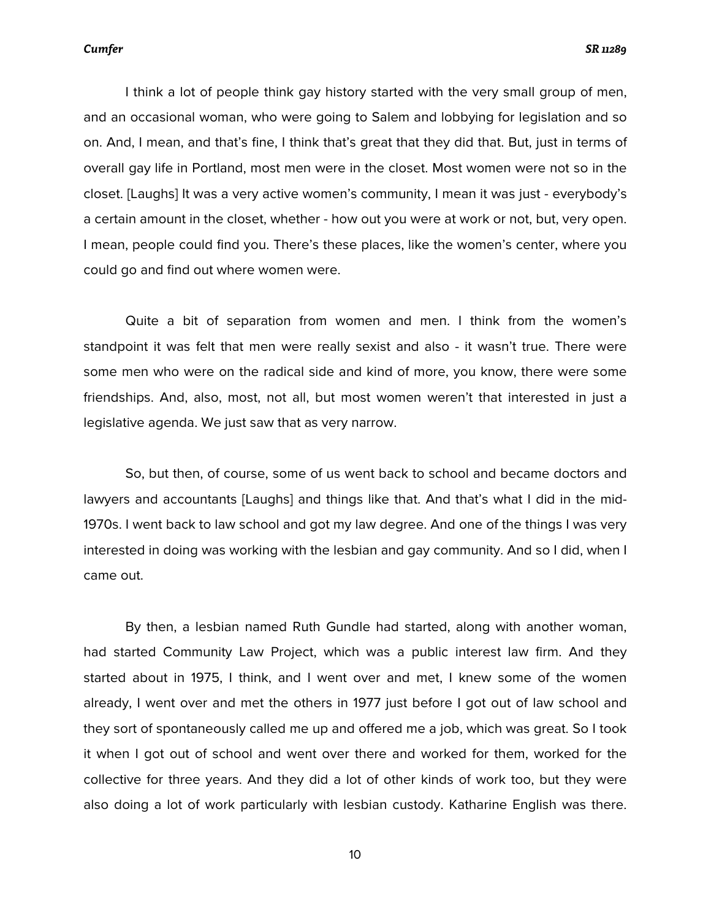I think a lot of people think gay history started with the very small group of men, and an occasional woman, who were going to Salem and lobbying for legislation and so on. And, I mean, and that's fine, I think that's great that they did that. But, just in terms of overall gay life in Portland, most men were in the closet. Most women were not so in the closet. [Laughs] It was a very active women's community, I mean it was just - everybody's a certain amount in the closet, whether - how out you were at work or not, but, very open. I mean, people could find you. There's these places, like the women's center, where you could go and find out where women were.

Quite a bit of separation from women and men. I think from the women's standpoint it was felt that men were really sexist and also - it wasn't true. There were some men who were on the radical side and kind of more, you know, there were some friendships. And, also, most, not all, but most women weren't that interested in just a legislative agenda. We just saw that as very narrow.

So, but then, of course, some of us went back to school and became doctors and lawyers and accountants [Laughs] and things like that. And that's what I did in the mid-1970s. I went back to law school and got my law degree. And one of the things I was very interested in doing was working with the lesbian and gay community. And so I did, when I came out.

By then, a lesbian named Ruth Gundle had started, along with another woman, had started Community Law Project, which was a public interest law firm. And they started about in 1975, I think, and I went over and met, I knew some of the women already, I went over and met the others in 1977 just before I got out of law school and they sort of spontaneously called me up and offered me a job, which was great. So I took it when I got out of school and went over there and worked for them, worked for the collective for three years. And they did a lot of other kinds of work too, but they were also doing a lot of work particularly with lesbian custody. Katharine English was there.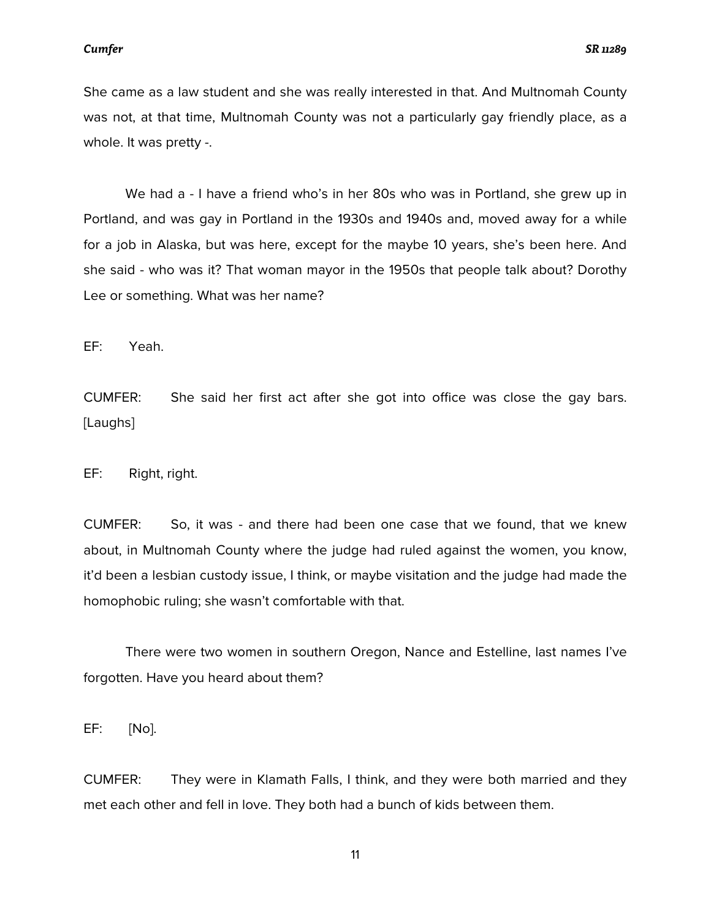She came as a law student and she was really interested in that. And Multnomah County was not, at that time, Multnomah County was not a particularly gay friendly place, as a whole. It was pretty -.

We had a - I have a friend who's in her 80s who was in Portland, she grew up in Portland, and was gay in Portland in the 1930s and 1940s and, moved away for a while for a job in Alaska, but was here, except for the maybe 10 years, she's been here. And she said - who was it? That woman mayor in the 1950s that people talk about? Dorothy Lee or something. What was her name?

EF: Yeah.

CUMFER: She said her first act after she got into office was close the gay bars. [Laughs]

EF: Right, right.

CUMFER: So, it was - and there had been one case that we found, that we knew about, in Multnomah County where the judge had ruled against the women, you know, it'd been a lesbian custody issue, I think, or maybe visitation and the judge had made the homophobic ruling; she wasn't comfortable with that.

There were two women in southern Oregon, Nance and Estelline, last names I've forgotten. Have you heard about them?

EF: [No].

CUMFER: They were in Klamath Falls, I think, and they were both married and they met each other and fell in love. They both had a bunch of kids between them.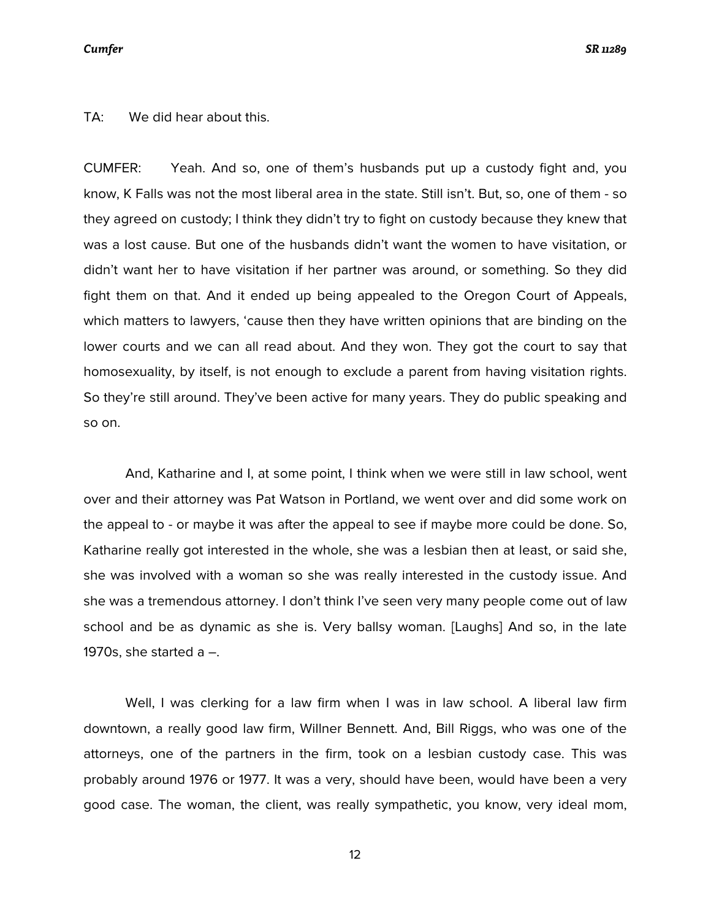### *Cumfer SR 11289*

TA: We did hear about this.

CUMFER: Yeah. And so, one of them's husbands put up a custody fight and, you know, K Falls was not the most liberal area in the state. Still isn't. But, so, one of them - so they agreed on custody; I think they didn't try to fight on custody because they knew that was a lost cause. But one of the husbands didn't want the women to have visitation, or didn't want her to have visitation if her partner was around, or something. So they did fight them on that. And it ended up being appealed to the Oregon Court of Appeals, which matters to lawyers, 'cause then they have written opinions that are binding on the lower courts and we can all read about. And they won. They got the court to say that homosexuality, by itself, is not enough to exclude a parent from having visitation rights. So they're still around. They've been active for many years. They do public speaking and so on.

And, Katharine and I, at some point, I think when we were still in law school, went over and their attorney was Pat Watson in Portland, we went over and did some work on the appeal to - or maybe it was after the appeal to see if maybe more could be done. So, Katharine really got interested in the whole, she was a lesbian then at least, or said she, she was involved with a woman so she was really interested in the custody issue. And she was a tremendous attorney. I don't think I've seen very many people come out of law school and be as dynamic as she is. Very ballsy woman. [Laughs] And so, in the late 1970s, she started a  $-$ .

Well, I was clerking for a law firm when I was in law school. A liberal law firm downtown, a really good law firm, Willner Bennett. And, Bill Riggs, who was one of the attorneys, one of the partners in the firm, took on a lesbian custody case. This was probably around 1976 or 1977. It was a very, should have been, would have been a very good case. The woman, the client, was really sympathetic, you know, very ideal mom,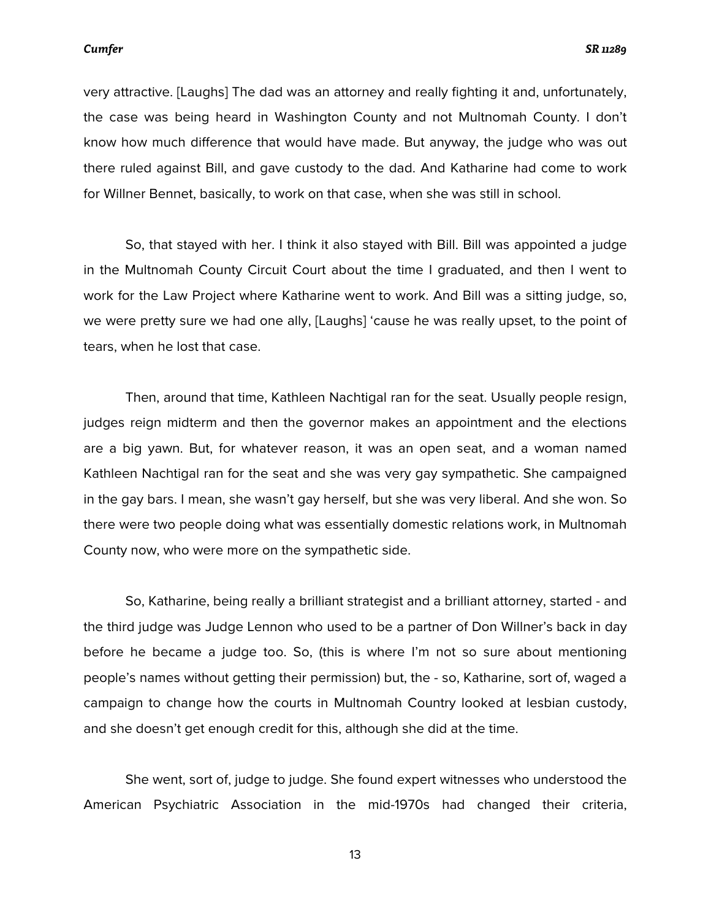very attractive. [Laughs] The dad was an attorney and really fighting it and, unfortunately, the case was being heard in Washington County and not Multnomah County. I don't know how much difference that would have made. But anyway, the judge who was out there ruled against Bill, and gave custody to the dad. And Katharine had come to work for Willner Bennet, basically, to work on that case, when she was still in school.

So, that stayed with her. I think it also stayed with Bill. Bill was appointed a judge in the Multnomah County Circuit Court about the time I graduated, and then I went to work for the Law Project where Katharine went to work. And Bill was a sitting judge, so, we were pretty sure we had one ally, [Laughs] 'cause he was really upset, to the point of tears, when he lost that case.

Then, around that time, Kathleen Nachtigal ran for the seat. Usually people resign, judges reign midterm and then the governor makes an appointment and the elections are a big yawn. But, for whatever reason, it was an open seat, and a woman named Kathleen Nachtigal ran for the seat and she was very gay sympathetic. She campaigned in the gay bars. I mean, she wasn't gay herself, but she was very liberal. And she won. So there were two people doing what was essentially domestic relations work, in Multnomah County now, who were more on the sympathetic side.

So, Katharine, being really a brilliant strategist and a brilliant attorney, started - and the third judge was Judge Lennon who used to be a partner of Don Willner's back in day before he became a judge too. So, (this is where I'm not so sure about mentioning people's names without getting their permission) but, the - so, Katharine, sort of, waged a campaign to change how the courts in Multnomah Country looked at lesbian custody, and she doesn't get enough credit for this, although she did at the time.

She went, sort of, judge to judge. She found expert witnesses who understood the American Psychiatric Association in the mid-1970s had changed their criteria,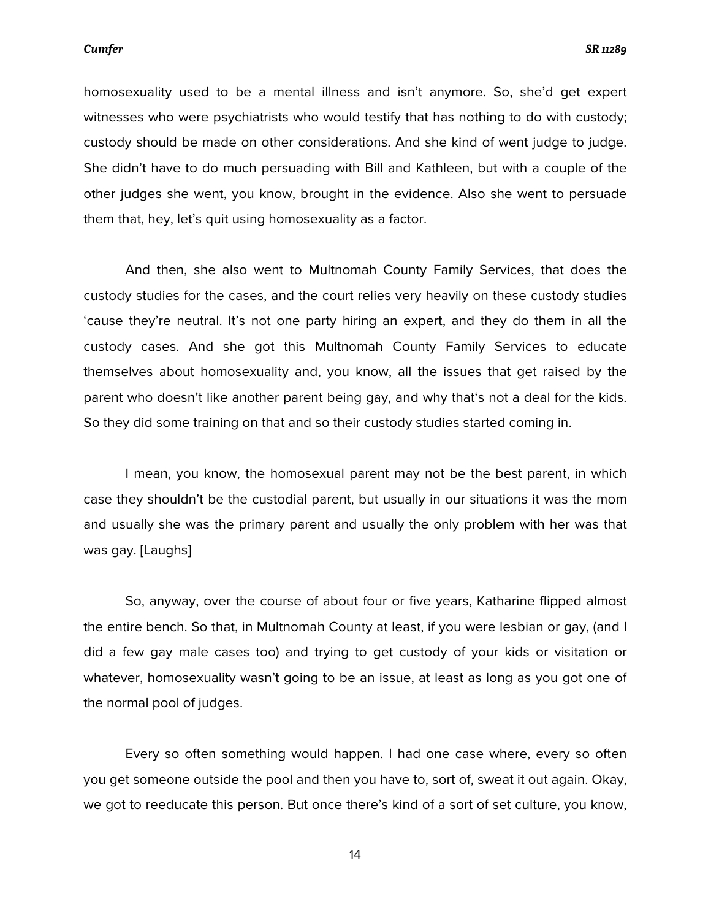homosexuality used to be a mental illness and isn't anymore. So, she'd get expert witnesses who were psychiatrists who would testify that has nothing to do with custody; custody should be made on other considerations. And she kind of went judge to judge. She didn't have to do much persuading with Bill and Kathleen, but with a couple of the other judges she went, you know, brought in the evidence. Also she went to persuade them that, hey, let's quit using homosexuality as a factor.

And then, she also went to Multnomah County Family Services, that does the custody studies for the cases, and the court relies very heavily on these custody studies 'cause they're neutral. It's not one party hiring an expert, and they do them in all the custody cases. And she got this Multnomah County Family Services to educate themselves about homosexuality and, you know, all the issues that get raised by the parent who doesn't like another parent being gay, and why that's not a deal for the kids. So they did some training on that and so their custody studies started coming in.

I mean, you know, the homosexual parent may not be the best parent, in which case they shouldn't be the custodial parent, but usually in our situations it was the mom and usually she was the primary parent and usually the only problem with her was that was gay. [Laughs]

So, anyway, over the course of about four or five years, Katharine flipped almost the entire bench. So that, in Multnomah County at least, if you were lesbian or gay, (and I did a few gay male cases too) and trying to get custody of your kids or visitation or whatever, homosexuality wasn't going to be an issue, at least as long as you got one of the normal pool of judges.

Every so often something would happen. I had one case where, every so often you get someone outside the pool and then you have to, sort of, sweat it out again. Okay, we got to reeducate this person. But once there's kind of a sort of set culture, you know,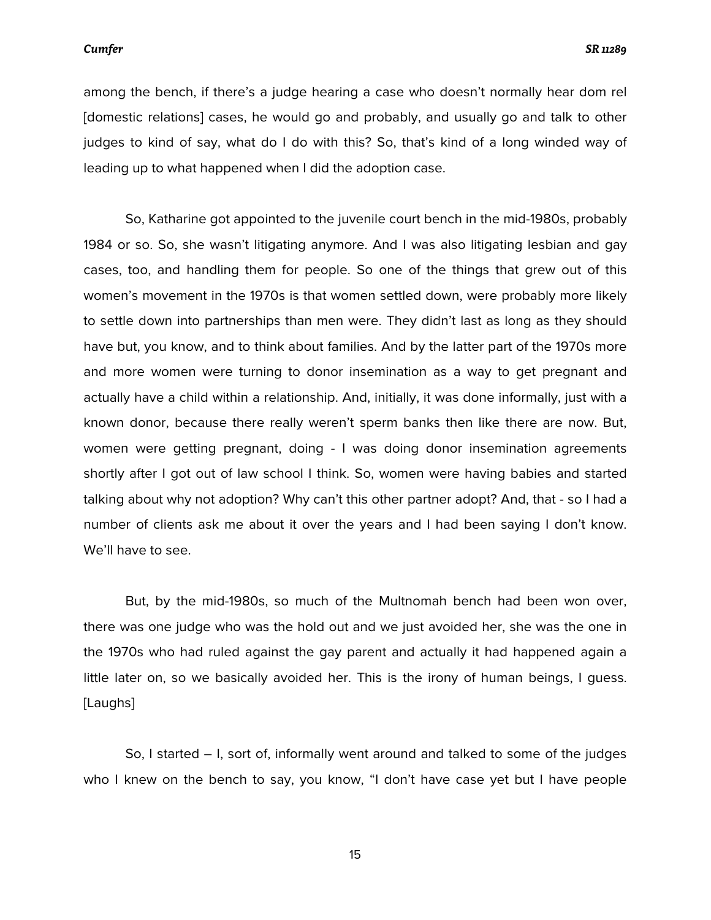among the bench, if there's a judge hearing a case who doesn't normally hear dom rel [domestic relations] cases, he would go and probably, and usually go and talk to other judges to kind of say, what do I do with this? So, that's kind of a long winded way of leading up to what happened when I did the adoption case.

So, Katharine got appointed to the juvenile court bench in the mid-1980s, probably 1984 or so. So, she wasn't litigating anymore. And I was also litigating lesbian and gay cases, too, and handling them for people. So one of the things that grew out of this women's movement in the 1970s is that women settled down, were probably more likely to settle down into partnerships than men were. They didn't last as long as they should have but, you know, and to think about families. And by the latter part of the 1970s more and more women were turning to donor insemination as a way to get pregnant and actually have a child within a relationship. And, initially, it was done informally, just with a known donor, because there really weren't sperm banks then like there are now. But, women were getting pregnant, doing - I was doing donor insemination agreements shortly after I got out of law school I think. So, women were having babies and started talking about why not adoption? Why can't this other partner adopt? And, that - so I had a number of clients ask me about it over the years and I had been saying I don't know. We'll have to see.

But, by the mid-1980s, so much of the Multnomah bench had been won over, there was one judge who was the hold out and we just avoided her, she was the one in the 1970s who had ruled against the gay parent and actually it had happened again a little later on, so we basically avoided her. This is the irony of human beings, I guess. [Laughs]

So, I started – I, sort of, informally went around and talked to some of the judges who I knew on the bench to say, you know, "I don't have case yet but I have people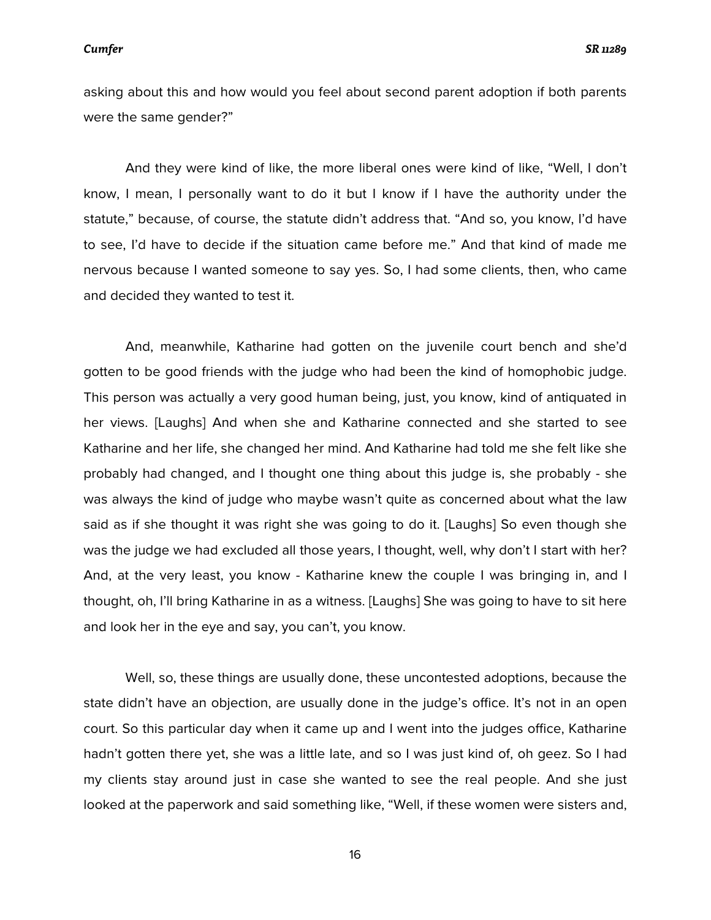asking about this and how would you feel about second parent adoption if both parents were the same gender?"

And they were kind of like, the more liberal ones were kind of like, "Well, I don't know, I mean, I personally want to do it but I know if I have the authority under the statute," because, of course, the statute didn't address that. "And so, you know, I'd have to see, I'd have to decide if the situation came before me." And that kind of made me nervous because I wanted someone to say yes. So, I had some clients, then, who came and decided they wanted to test it.

And, meanwhile, Katharine had gotten on the juvenile court bench and she'd gotten to be good friends with the judge who had been the kind of homophobic judge. This person was actually a very good human being, just, you know, kind of antiquated in her views. [Laughs] And when she and Katharine connected and she started to see Katharine and her life, she changed her mind. And Katharine had told me she felt like she probably had changed, and I thought one thing about this judge is, she probably - she was always the kind of judge who maybe wasn't quite as concerned about what the law said as if she thought it was right she was going to do it. [Laughs] So even though she was the judge we had excluded all those years, I thought, well, why don't I start with her? And, at the very least, you know - Katharine knew the couple I was bringing in, and I thought, oh, I'll bring Katharine in as a witness. [Laughs] She was going to have to sit here and look her in the eye and say, you can't, you know.

Well, so, these things are usually done, these uncontested adoptions, because the state didn't have an objection, are usually done in the judge's office. It's not in an open court. So this particular day when it came up and I went into the judges office, Katharine hadn't gotten there yet, she was a little late, and so I was just kind of, oh geez. So I had my clients stay around just in case she wanted to see the real people. And she just looked at the paperwork and said something like, "Well, if these women were sisters and,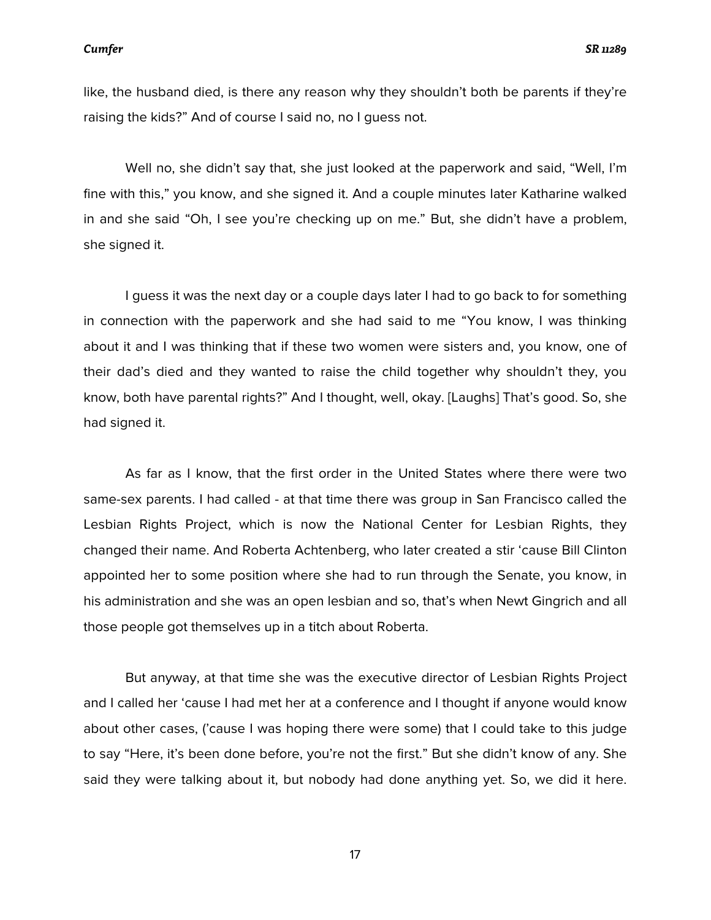like, the husband died, is there any reason why they shouldn't both be parents if they're raising the kids?" And of course I said no, no I guess not.

Well no, she didn't say that, she just looked at the paperwork and said, "Well, I'm fine with this," you know, and she signed it. And a couple minutes later Katharine walked in and she said "Oh, I see you're checking up on me." But, she didn't have a problem, she signed it.

I guess it was the next day or a couple days later I had to go back to for something in connection with the paperwork and she had said to me "You know, I was thinking about it and I was thinking that if these two women were sisters and, you know, one of their dad's died and they wanted to raise the child together why shouldn't they, you know, both have parental rights?" And I thought, well, okay. [Laughs] That's good. So, she had signed it.

As far as I know, that the first order in the United States where there were two same-sex parents. I had called - at that time there was group in San Francisco called the Lesbian Rights Project, which is now the National Center for Lesbian Rights, they changed their name. And Roberta Achtenberg, who later created a stir 'cause Bill Clinton appointed her to some position where she had to run through the Senate, you know, in his administration and she was an open lesbian and so, that's when Newt Gingrich and all those people got themselves up in a titch about Roberta.

But anyway, at that time she was the executive director of Lesbian Rights Project and I called her 'cause I had met her at a conference and I thought if anyone would know about other cases, ('cause I was hoping there were some) that I could take to this judge to say "Here, it's been done before, you're not the first." But she didn't know of any. She said they were talking about it, but nobody had done anything yet. So, we did it here.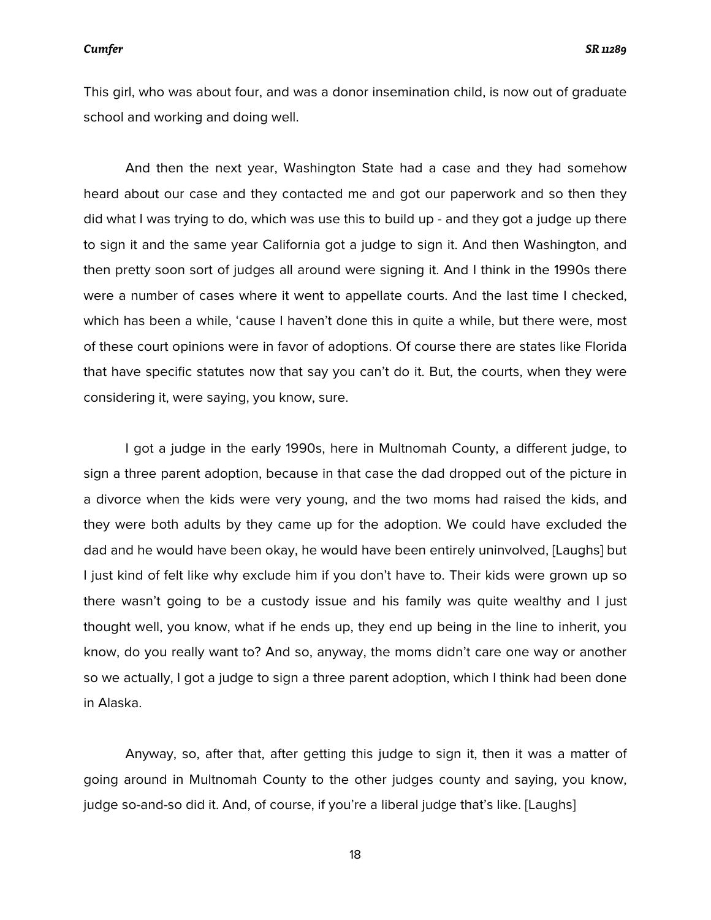This girl, who was about four, and was a donor insemination child, is now out of graduate school and working and doing well.

And then the next year, Washington State had a case and they had somehow heard about our case and they contacted me and got our paperwork and so then they did what I was trying to do, which was use this to build up - and they got a judge up there to sign it and the same year California got a judge to sign it. And then Washington, and then pretty soon sort of judges all around were signing it. And I think in the 1990s there were a number of cases where it went to appellate courts. And the last time I checked, which has been a while, 'cause I haven't done this in quite a while, but there were, most of these court opinions were in favor of adoptions. Of course there are states like Florida that have specific statutes now that say you can't do it. But, the courts, when they were considering it, were saying, you know, sure.

I got a judge in the early 1990s, here in Multnomah County, a different judge, to sign a three parent adoption, because in that case the dad dropped out of the picture in a divorce when the kids were very young, and the two moms had raised the kids, and they were both adults by they came up for the adoption. We could have excluded the dad and he would have been okay, he would have been entirely uninvolved, [Laughs] but I just kind of felt like why exclude him if you don't have to. Their kids were grown up so there wasn't going to be a custody issue and his family was quite wealthy and I just thought well, you know, what if he ends up, they end up being in the line to inherit, you know, do you really want to? And so, anyway, the moms didn't care one way or another so we actually, I got a judge to sign a three parent adoption, which I think had been done in Alaska.

Anyway, so, after that, after getting this judge to sign it, then it was a matter of going around in Multnomah County to the other judges county and saying, you know, judge so-and-so did it. And, of course, if you're a liberal judge that's like. [Laughs]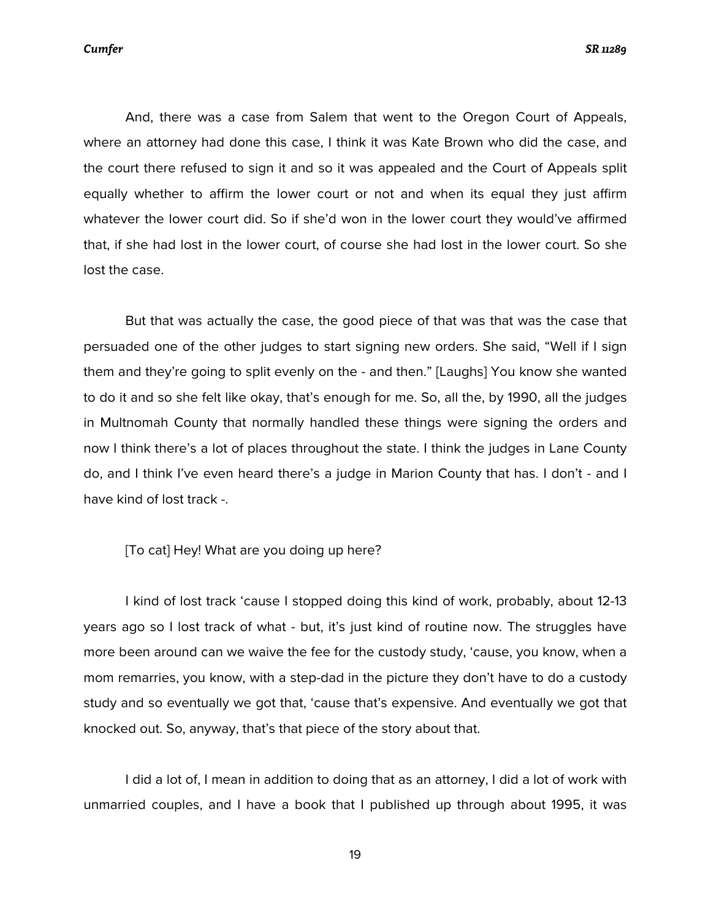*Cumfer SR 11289*

And, there was a case from Salem that went to the Oregon Court of Appeals, where an attorney had done this case, I think it was Kate Brown who did the case, and the court there refused to sign it and so it was appealed and the Court of Appeals split equally whether to affirm the lower court or not and when its equal they just affirm whatever the lower court did. So if she'd won in the lower court they would've affirmed that, if she had lost in the lower court, of course she had lost in the lower court. So she lost the case.

But that was actually the case, the good piece of that was that was the case that persuaded one of the other judges to start signing new orders. She said, "Well if I sign them and they're going to split evenly on the - and then." [Laughs] You know she wanted to do it and so she felt like okay, that's enough for me. So, all the, by 1990, all the judges in Multnomah County that normally handled these things were signing the orders and now I think there's a lot of places throughout the state. I think the judges in Lane County do, and I think I've even heard there's a judge in Marion County that has. I don't - and I have kind of lost track -.

[To cat] Hey! What are you doing up here?

I kind of lost track 'cause I stopped doing this kind of work, probably, about 12-13 years ago so I lost track of what - but, it's just kind of routine now. The struggles have more been around can we waive the fee for the custody study, 'cause, you know, when a mom remarries, you know, with a step-dad in the picture they don't have to do a custody study and so eventually we got that, 'cause that's expensive. And eventually we got that knocked out. So, anyway, that's that piece of the story about that.

I did a lot of, I mean in addition to doing that as an attorney, I did a lot of work with unmarried couples, and I have a book that I published up through about 1995, it was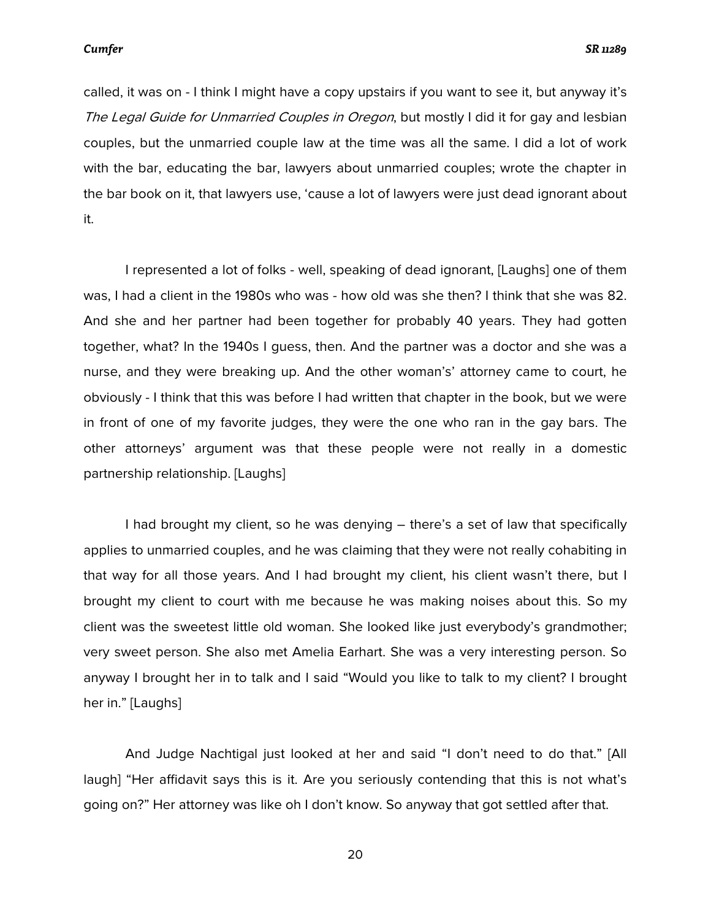called, it was on - I think I might have a copy upstairs if you want to see it, but anyway it's The Legal Guide for Unmarried Couples in Oregon, but mostly I did it for gay and lesbian couples, but the unmarried couple law at the time was all the same. I did a lot of work with the bar, educating the bar, lawyers about unmarried couples; wrote the chapter in the bar book on it, that lawyers use, 'cause a lot of lawyers were just dead ignorant about it.

I represented a lot of folks - well, speaking of dead ignorant, [Laughs] one of them was, I had a client in the 1980s who was - how old was she then? I think that she was 82. And she and her partner had been together for probably 40 years. They had gotten together, what? In the 1940s I guess, then. And the partner was a doctor and she was a nurse, and they were breaking up. And the other woman's' attorney came to court, he obviously - I think that this was before I had written that chapter in the book, but we were in front of one of my favorite judges, they were the one who ran in the gay bars. The other attorneys' argument was that these people were not really in a domestic partnership relationship. [Laughs]

I had brought my client, so he was denying – there's a set of law that specifically applies to unmarried couples, and he was claiming that they were not really cohabiting in that way for all those years. And I had brought my client, his client wasn't there, but I brought my client to court with me because he was making noises about this. So my client was the sweetest little old woman. She looked like just everybody's grandmother; very sweet person. She also met Amelia Earhart. She was a very interesting person. So anyway I brought her in to talk and I said "Would you like to talk to my client? I brought her in." [Laughs]

And Judge Nachtigal just looked at her and said "I don't need to do that." [All laugh] "Her affidavit says this is it. Are you seriously contending that this is not what's going on?" Her attorney was like oh I don't know. So anyway that got settled after that.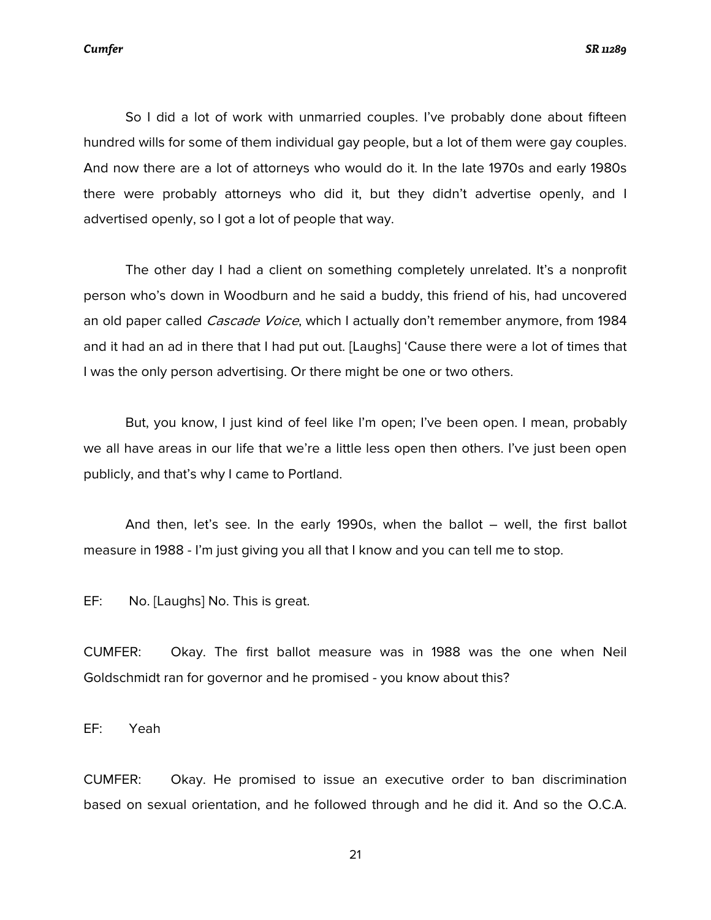*Cumfer SR 11289*

So I did a lot of work with unmarried couples. I've probably done about fifteen hundred wills for some of them individual gay people, but a lot of them were gay couples. And now there are a lot of attorneys who would do it. In the late 1970s and early 1980s there were probably attorneys who did it, but they didn't advertise openly, and I advertised openly, so I got a lot of people that way.

The other day I had a client on something completely unrelated. It's a nonprofit person who's down in Woodburn and he said a buddy, this friend of his, had uncovered an old paper called *Cascade Voice*, which I actually don't remember anymore, from 1984 and it had an ad in there that I had put out. [Laughs] 'Cause there were a lot of times that I was the only person advertising. Or there might be one or two others.

But, you know, I just kind of feel like I'm open; I've been open. I mean, probably we all have areas in our life that we're a little less open then others. I've just been open publicly, and that's why I came to Portland.

And then, let's see. In the early 1990s, when the ballot – well, the first ballot measure in 1988 - I'm just giving you all that I know and you can tell me to stop.

EF: No. [Laughs] No. This is great.

CUMFER: Okay. The first ballot measure was in 1988 was the one when Neil Goldschmidt ran for governor and he promised - you know about this?

EF: Yeah

CUMFER: Okay. He promised to issue an executive order to ban discrimination based on sexual orientation, and he followed through and he did it. And so the O.C.A.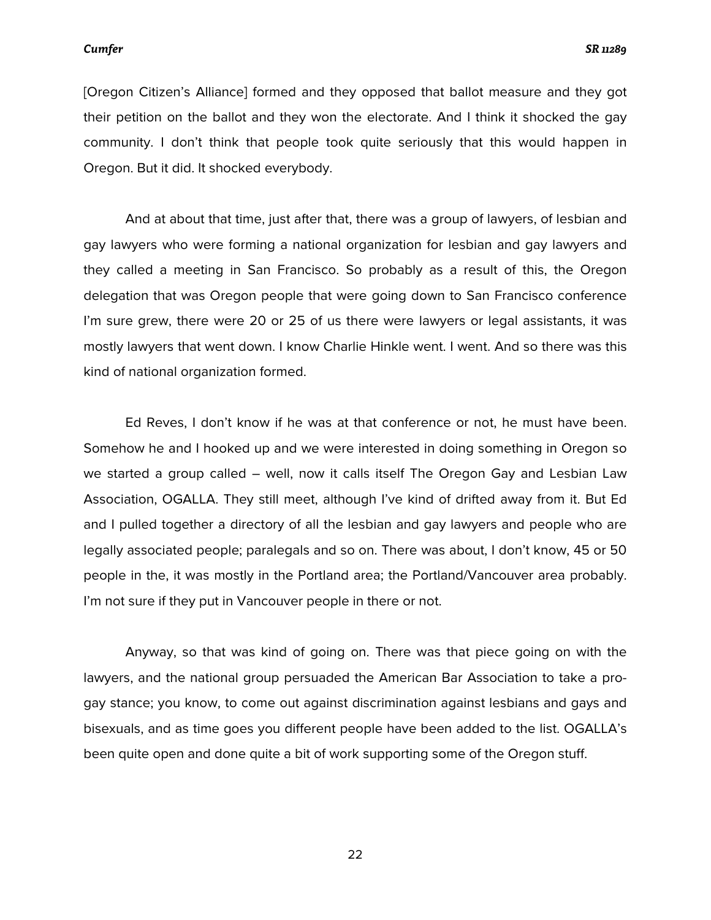[Oregon Citizen's Alliance] formed and they opposed that ballot measure and they got their petition on the ballot and they won the electorate. And I think it shocked the gay community. I don't think that people took quite seriously that this would happen in Oregon. But it did. It shocked everybody.

And at about that time, just after that, there was a group of lawyers, of lesbian and gay lawyers who were forming a national organization for lesbian and gay lawyers and they called a meeting in San Francisco. So probably as a result of this, the Oregon delegation that was Oregon people that were going down to San Francisco conference I'm sure grew, there were 20 or 25 of us there were lawyers or legal assistants, it was mostly lawyers that went down. I know Charlie Hinkle went. I went. And so there was this kind of national organization formed.

Ed Reves, I don't know if he was at that conference or not, he must have been. Somehow he and I hooked up and we were interested in doing something in Oregon so we started a group called – well, now it calls itself The Oregon Gay and Lesbian Law Association, OGALLA. They still meet, although I've kind of drifted away from it. But Ed and I pulled together a directory of all the lesbian and gay lawyers and people who are legally associated people; paralegals and so on. There was about, I don't know, 45 or 50 people in the, it was mostly in the Portland area; the Portland/Vancouver area probably. I'm not sure if they put in Vancouver people in there or not.

Anyway, so that was kind of going on. There was that piece going on with the lawyers, and the national group persuaded the American Bar Association to take a progay stance; you know, to come out against discrimination against lesbians and gays and bisexuals, and as time goes you different people have been added to the list. OGALLA's been quite open and done quite a bit of work supporting some of the Oregon stuff.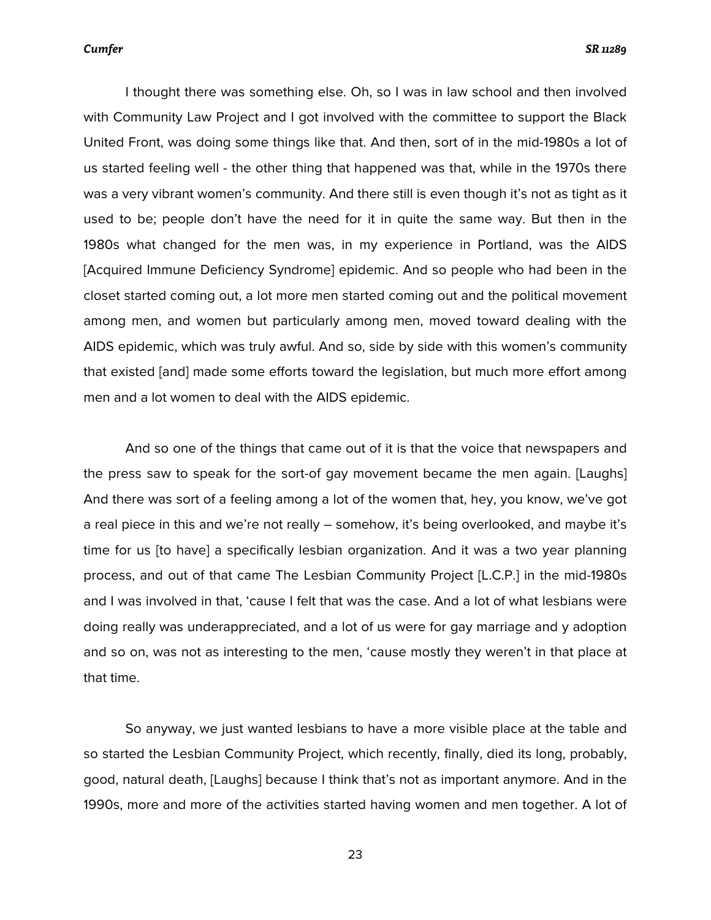I thought there was something else. Oh, so I was in law school and then involved with Community Law Project and I got involved with the committee to support the Black United Front, was doing some things like that. And then, sort of in the mid-1980s a lot of us started feeling well - the other thing that happened was that, while in the 1970s there was a very vibrant women's community. And there still is even though it's not as tight as it used to be; people don't have the need for it in quite the same way. But then in the 1980s what changed for the men was, in my experience in Portland, was the AIDS [Acquired Immune Deficiency Syndrome] epidemic. And so people who had been in the closet started coming out, a lot more men started coming out and the political movement among men, and women but particularly among men, moved toward dealing with the AIDS epidemic, which was truly awful. And so, side by side with this women's community that existed [and] made some efforts toward the legislation, but much more effort among men and a lot women to deal with the AIDS epidemic.

And so one of the things that came out of it is that the voice that newspapers and the press saw to speak for the sort-of gay movement became the men again. [Laughs] And there was sort of a feeling among a lot of the women that, hey, you know, we've got a real piece in this and we're not really – somehow, it's being overlooked, and maybe it's time for us [to have] a specifically lesbian organization. And it was a two year planning process, and out of that came The Lesbian Community Project [L.C.P.] in the mid-1980s and I was involved in that, 'cause I felt that was the case. And a lot of what lesbians were doing really was underappreciated, and a lot of us were for gay marriage and y adoption and so on, was not as interesting to the men, 'cause mostly they weren't in that place at that time.

So anyway, we just wanted lesbians to have a more visible place at the table and so started the Lesbian Community Project, which recently, finally, died its long, probably, good, natural death, [Laughs] because I think that's not as important anymore. And in the 1990s, more and more of the activities started having women and men together. A lot of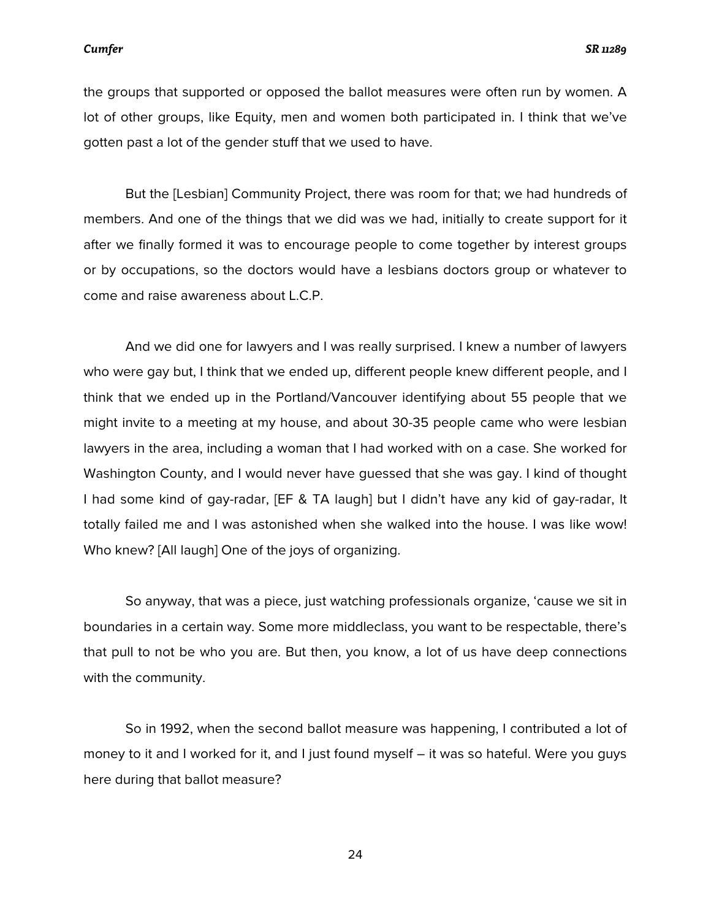the groups that supported or opposed the ballot measures were often run by women. A lot of other groups, like Equity, men and women both participated in. I think that we've gotten past a lot of the gender stuff that we used to have.

But the [Lesbian] Community Project, there was room for that; we had hundreds of members. And one of the things that we did was we had, initially to create support for it after we finally formed it was to encourage people to come together by interest groups or by occupations, so the doctors would have a lesbians doctors group or whatever to come and raise awareness about L.C.P.

And we did one for lawyers and I was really surprised. I knew a number of lawyers who were gay but, I think that we ended up, different people knew different people, and I think that we ended up in the Portland/Vancouver identifying about 55 people that we might invite to a meeting at my house, and about 30-35 people came who were lesbian lawyers in the area, including a woman that I had worked with on a case. She worked for Washington County, and I would never have guessed that she was gay. I kind of thought I had some kind of gay-radar, [EF & TA laugh] but I didn't have any kid of gay-radar, It totally failed me and I was astonished when she walked into the house. I was like wow! Who knew? [All laugh] One of the joys of organizing.

So anyway, that was a piece, just watching professionals organize, 'cause we sit in boundaries in a certain way. Some more middleclass, you want to be respectable, there's that pull to not be who you are. But then, you know, a lot of us have deep connections with the community.

So in 1992, when the second ballot measure was happening, I contributed a lot of money to it and I worked for it, and I just found myself – it was so hateful. Were you guys here during that ballot measure?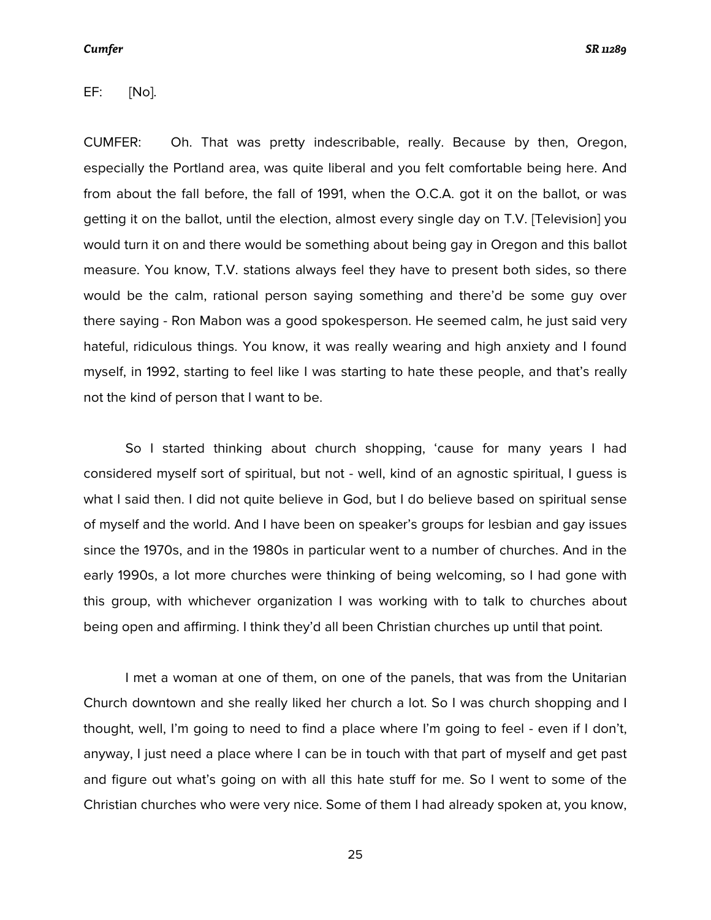*Cumfer SR 11289*

EF: [No].

CUMFER: Oh. That was pretty indescribable, really. Because by then, Oregon, especially the Portland area, was quite liberal and you felt comfortable being here. And from about the fall before, the fall of 1991, when the O.C.A. got it on the ballot, or was getting it on the ballot, until the election, almost every single day on T.V. [Television] you would turn it on and there would be something about being gay in Oregon and this ballot measure. You know, T.V. stations always feel they have to present both sides, so there would be the calm, rational person saying something and there'd be some guy over there saying - Ron Mabon was a good spokesperson. He seemed calm, he just said very hateful, ridiculous things. You know, it was really wearing and high anxiety and I found myself, in 1992, starting to feel like I was starting to hate these people, and that's really not the kind of person that I want to be.

So I started thinking about church shopping, 'cause for many years I had considered myself sort of spiritual, but not - well, kind of an agnostic spiritual, I guess is what I said then. I did not quite believe in God, but I do believe based on spiritual sense of myself and the world. And I have been on speaker's groups for lesbian and gay issues since the 1970s, and in the 1980s in particular went to a number of churches. And in the early 1990s, a lot more churches were thinking of being welcoming, so I had gone with this group, with whichever organization I was working with to talk to churches about being open and affirming. I think they'd all been Christian churches up until that point.

I met a woman at one of them, on one of the panels, that was from the Unitarian Church downtown and she really liked her church a lot. So I was church shopping and I thought, well, I'm going to need to find a place where I'm going to feel - even if I don't, anyway, I just need a place where I can be in touch with that part of myself and get past and figure out what's going on with all this hate stuff for me. So I went to some of the Christian churches who were very nice. Some of them I had already spoken at, you know,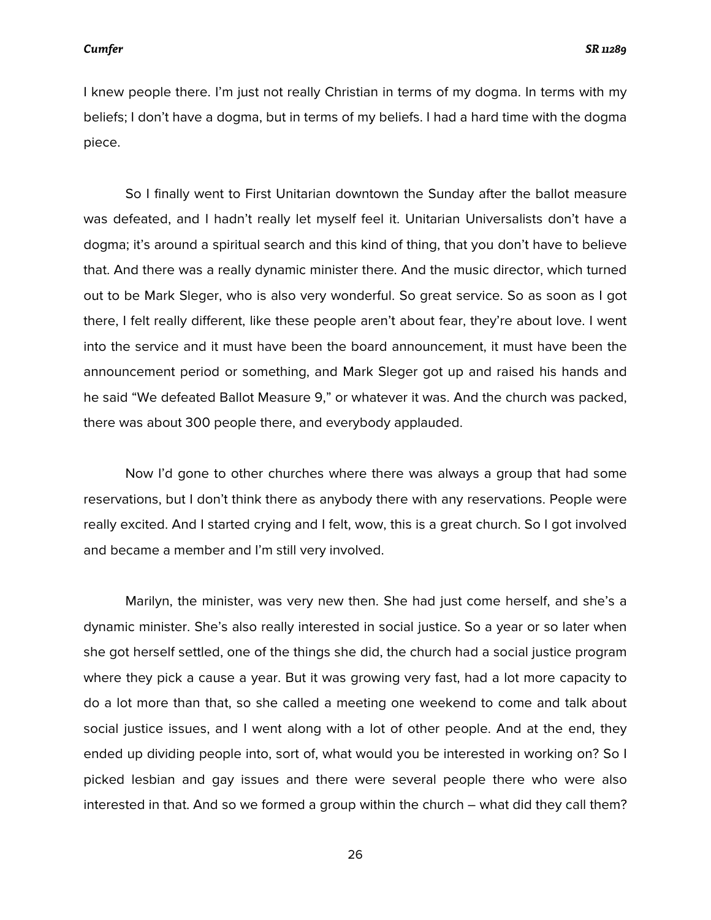I knew people there. I'm just not really Christian in terms of my dogma. In terms with my beliefs; I don't have a dogma, but in terms of my beliefs. I had a hard time with the dogma piece.

So I finally went to First Unitarian downtown the Sunday after the ballot measure was defeated, and I hadn't really let myself feel it. Unitarian Universalists don't have a dogma; it's around a spiritual search and this kind of thing, that you don't have to believe that. And there was a really dynamic minister there. And the music director, which turned out to be Mark Sleger, who is also very wonderful. So great service. So as soon as I got there, I felt really different, like these people aren't about fear, they're about love. I went into the service and it must have been the board announcement, it must have been the announcement period or something, and Mark Sleger got up and raised his hands and he said "We defeated Ballot Measure 9," or whatever it was. And the church was packed, there was about 300 people there, and everybody applauded.

Now I'd gone to other churches where there was always a group that had some reservations, but I don't think there as anybody there with any reservations. People were really excited. And I started crying and I felt, wow, this is a great church. So I got involved and became a member and I'm still very involved.

Marilyn, the minister, was very new then. She had just come herself, and she's a dynamic minister. She's also really interested in social justice. So a year or so later when she got herself settled, one of the things she did, the church had a social justice program where they pick a cause a year. But it was growing very fast, had a lot more capacity to do a lot more than that, so she called a meeting one weekend to come and talk about social justice issues, and I went along with a lot of other people. And at the end, they ended up dividing people into, sort of, what would you be interested in working on? So I picked lesbian and gay issues and there were several people there who were also interested in that. And so we formed a group within the church – what did they call them?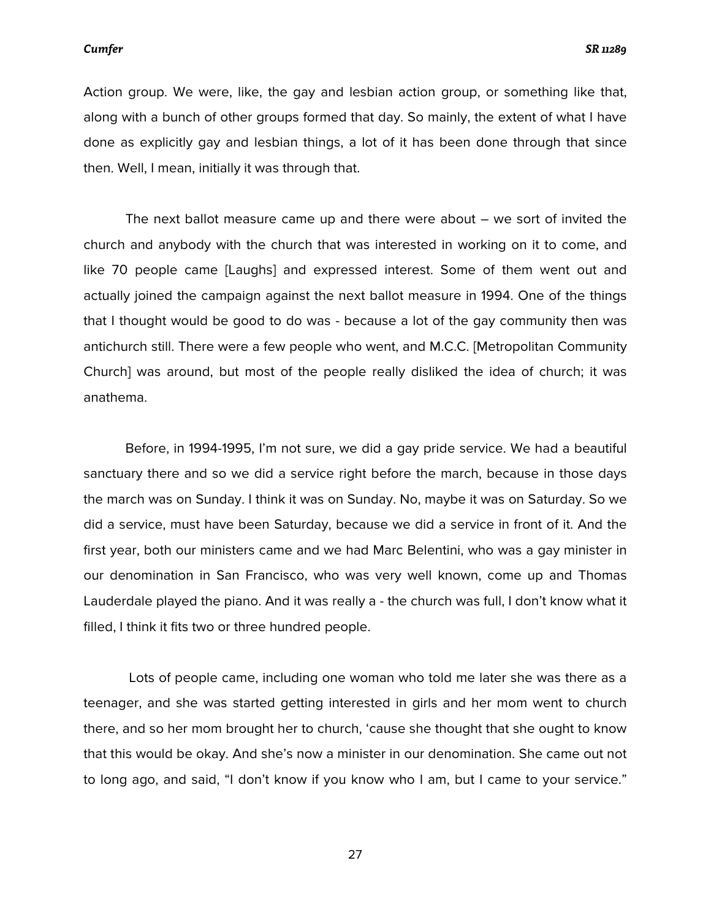Action group. We were, like, the gay and lesbian action group, or something like that, along with a bunch of other groups formed that day. So mainly, the extent of what I have done as explicitly gay and lesbian things, a lot of it has been done through that since then. Well, I mean, initially it was through that.

The next ballot measure came up and there were about – we sort of invited the church and anybody with the church that was interested in working on it to come, and like 70 people came [Laughs] and expressed interest. Some of them went out and actually joined the campaign against the next ballot measure in 1994. One of the things that I thought would be good to do was - because a lot of the gay community then was antichurch still. There were a few people who went, and M.C.C. [Metropolitan Community Church] was around, but most of the people really disliked the idea of church; it was anathema.

Before, in 1994-1995, I'm not sure, we did a gay pride service. We had a beautiful sanctuary there and so we did a service right before the march, because in those days the march was on Sunday. I think it was on Sunday. No, maybe it was on Saturday. So we did a service, must have been Saturday, because we did a service in front of it. And the first year, both our ministers came and we had Marc Belentini, who was a gay minister in our denomination in San Francisco, who was very well known, come up and Thomas Lauderdale played the piano. And it was really a - the church was full, I don't know what it filled, I think it fits two or three hundred people.

Lots of people came, including one woman who told me later she was there as a teenager, and she was started getting interested in girls and her mom went to church there, and so her mom brought her to church, 'cause she thought that she ought to know that this would be okay. And she's now a minister in our denomination. She came out not to long ago, and said, "I don't know if you know who I am, but I came to your service."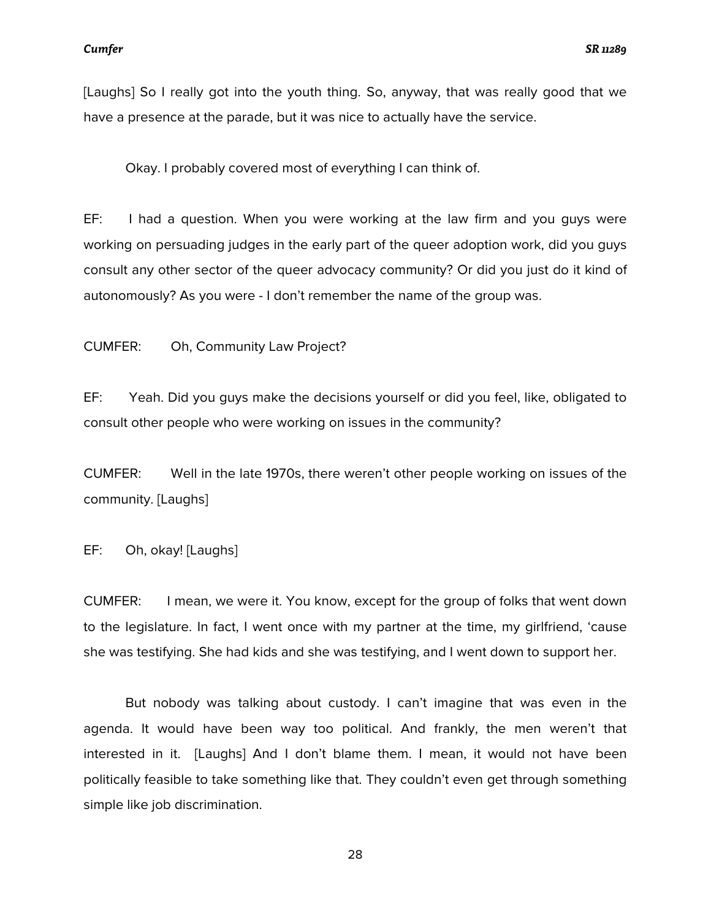[Laughs] So I really got into the youth thing. So, anyway, that was really good that we have a presence at the parade, but it was nice to actually have the service.

Okay. I probably covered most of everything I can think of.

EF: I had a question. When you were working at the law firm and you guys were working on persuading judges in the early part of the queer adoption work, did you guys consult any other sector of the queer advocacy community? Or did you just do it kind of autonomously? As you were - I don't remember the name of the group was.

CUMFER: Oh, Community Law Project?

EF: Yeah. Did you guys make the decisions yourself or did you feel, like, obligated to consult other people who were working on issues in the community?

CUMFER: Well in the late 1970s, there weren't other people working on issues of the community. [Laughs]

EF: Oh, okay! [Laughs]

CUMFER: I mean, we were it. You know, except for the group of folks that went down to the legislature. In fact, I went once with my partner at the time, my girlfriend, 'cause she was testifying. She had kids and she was testifying, and I went down to support her.

But nobody was talking about custody. I can't imagine that was even in the agenda. It would have been way too political. And frankly, the men weren't that interested in it. [Laughs] And I don't blame them. I mean, it would not have been politically feasible to take something like that. They couldn't even get through something simple like job discrimination.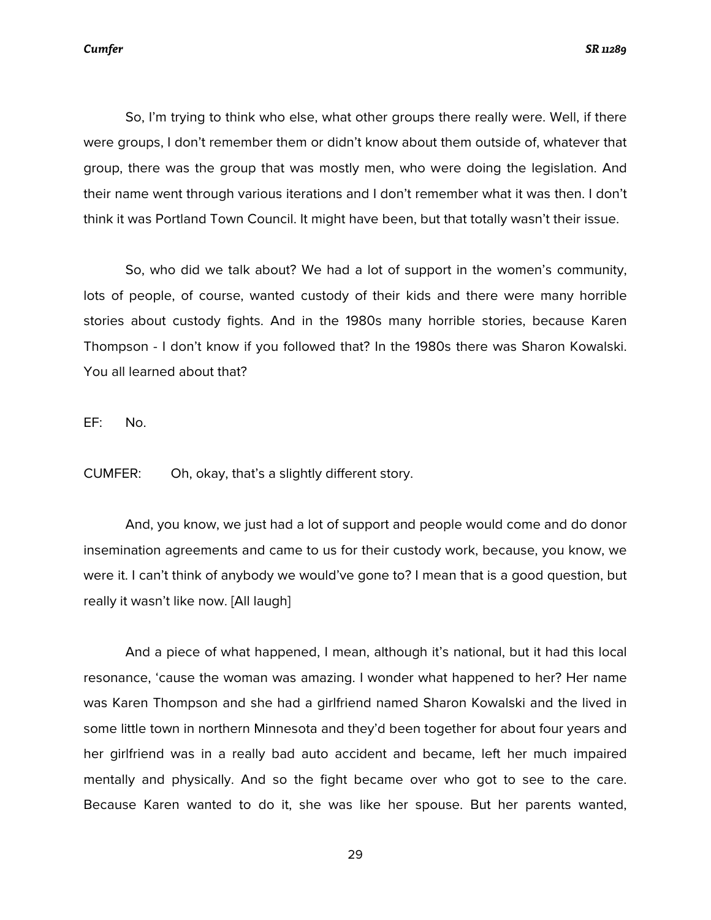So, I'm trying to think who else, what other groups there really were. Well, if there were groups, I don't remember them or didn't know about them outside of, whatever that group, there was the group that was mostly men, who were doing the legislation. And their name went through various iterations and I don't remember what it was then. I don't think it was Portland Town Council. It might have been, but that totally wasn't their issue.

So, who did we talk about? We had a lot of support in the women's community, lots of people, of course, wanted custody of their kids and there were many horrible stories about custody fights. And in the 1980s many horrible stories, because Karen Thompson - I don't know if you followed that? In the 1980s there was Sharon Kowalski. You all learned about that?

EF: No.

CUMFER: Oh, okay, that's a slightly different story.

And, you know, we just had a lot of support and people would come and do donor insemination agreements and came to us for their custody work, because, you know, we were it. I can't think of anybody we would've gone to? I mean that is a good question, but really it wasn't like now. [All laugh]

And a piece of what happened, I mean, although it's national, but it had this local resonance, 'cause the woman was amazing. I wonder what happened to her? Her name was Karen Thompson and she had a girlfriend named Sharon Kowalski and the lived in some little town in northern Minnesota and they'd been together for about four years and her girlfriend was in a really bad auto accident and became, left her much impaired mentally and physically. And so the fight became over who got to see to the care. Because Karen wanted to do it, she was like her spouse. But her parents wanted,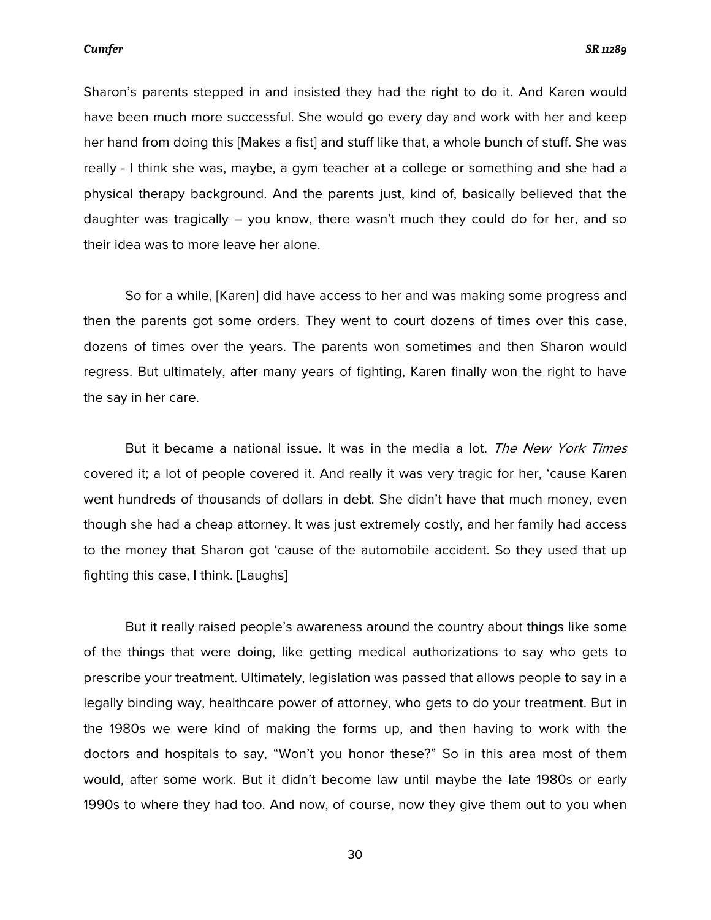Sharon's parents stepped in and insisted they had the right to do it. And Karen would have been much more successful. She would go every day and work with her and keep her hand from doing this [Makes a fist] and stuff like that, a whole bunch of stuff. She was really - I think she was, maybe, a gym teacher at a college or something and she had a physical therapy background. And the parents just, kind of, basically believed that the daughter was tragically – you know, there wasn't much they could do for her, and so their idea was to more leave her alone.

So for a while, [Karen] did have access to her and was making some progress and then the parents got some orders. They went to court dozens of times over this case, dozens of times over the years. The parents won sometimes and then Sharon would regress. But ultimately, after many years of fighting, Karen finally won the right to have the say in her care.

But it became a national issue. It was in the media a lot. *The New York Times* covered it; a lot of people covered it. And really it was very tragic for her, 'cause Karen went hundreds of thousands of dollars in debt. She didn't have that much money, even though she had a cheap attorney. It was just extremely costly, and her family had access to the money that Sharon got 'cause of the automobile accident. So they used that up fighting this case, I think. [Laughs]

But it really raised people's awareness around the country about things like some of the things that were doing, like getting medical authorizations to say who gets to prescribe your treatment. Ultimately, legislation was passed that allows people to say in a legally binding way, healthcare power of attorney, who gets to do your treatment. But in the 1980s we were kind of making the forms up, and then having to work with the doctors and hospitals to say, "Won't you honor these?" So in this area most of them would, after some work. But it didn't become law until maybe the late 1980s or early 1990s to where they had too. And now, of course, now they give them out to you when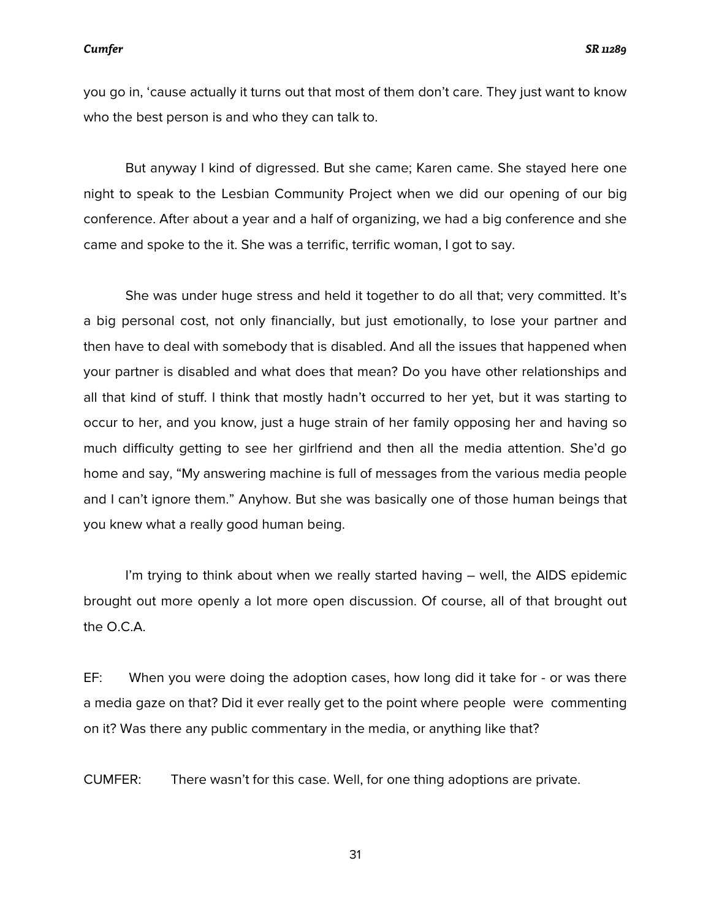you go in, 'cause actually it turns out that most of them don't care. They just want to know who the best person is and who they can talk to.

But anyway I kind of digressed. But she came; Karen came. She stayed here one night to speak to the Lesbian Community Project when we did our opening of our big conference. After about a year and a half of organizing, we had a big conference and she came and spoke to the it. She was a terrific, terrific woman, I got to say.

She was under huge stress and held it together to do all that; very committed. It's a big personal cost, not only financially, but just emotionally, to lose your partner and then have to deal with somebody that is disabled. And all the issues that happened when your partner is disabled and what does that mean? Do you have other relationships and all that kind of stuff. I think that mostly hadn't occurred to her yet, but it was starting to occur to her, and you know, just a huge strain of her family opposing her and having so much difficulty getting to see her girlfriend and then all the media attention. She'd go home and say, "My answering machine is full of messages from the various media people and I can't ignore them." Anyhow. But she was basically one of those human beings that you knew what a really good human being.

I'm trying to think about when we really started having – well, the AIDS epidemic brought out more openly a lot more open discussion. Of course, all of that brought out the O.C.A.

EF: When you were doing the adoption cases, how long did it take for - or was there a media gaze on that? Did it ever really get to the point where people were commenting on it? Was there any public commentary in the media, or anything like that?

CUMFER: There wasn't for this case. Well, for one thing adoptions are private.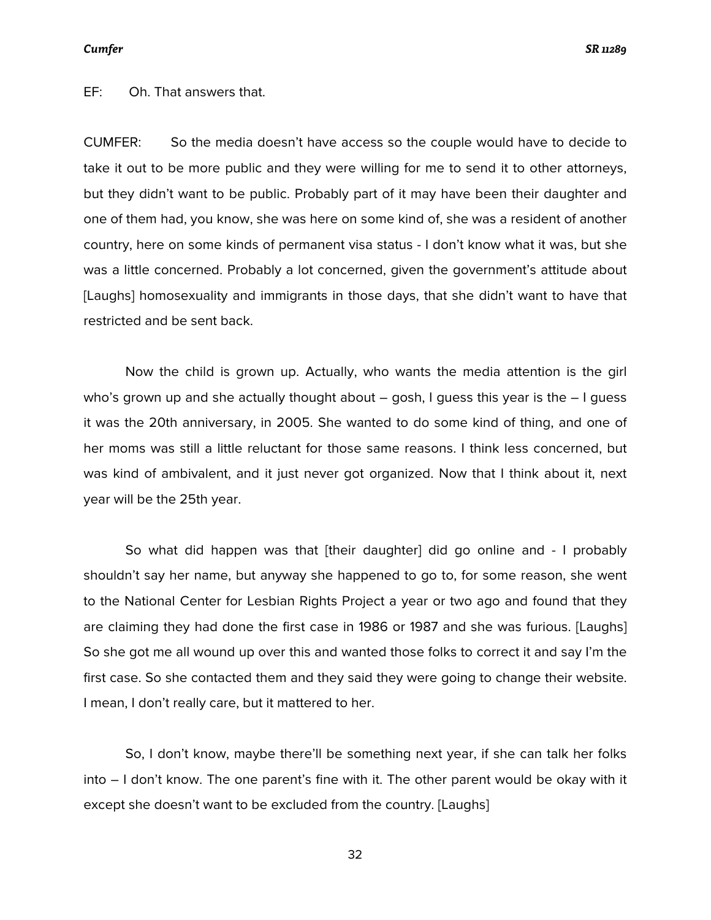EF: Oh. That answers that.

CUMFER: So the media doesn't have access so the couple would have to decide to take it out to be more public and they were willing for me to send it to other attorneys, but they didn't want to be public. Probably part of it may have been their daughter and one of them had, you know, she was here on some kind of, she was a resident of another country, here on some kinds of permanent visa status - I don't know what it was, but she was a little concerned. Probably a lot concerned, given the government's attitude about [Laughs] homosexuality and immigrants in those days, that she didn't want to have that restricted and be sent back.

Now the child is grown up. Actually, who wants the media attention is the girl who's grown up and she actually thought about  $-$  gosh, I guess this year is the  $-1$  guess it was the 20th anniversary, in 2005. She wanted to do some kind of thing, and one of her moms was still a little reluctant for those same reasons. I think less concerned, but was kind of ambivalent, and it just never got organized. Now that I think about it, next year will be the 25th year.

So what did happen was that [their daughter] did go online and - I probably shouldn't say her name, but anyway she happened to go to, for some reason, she went to the National Center for Lesbian Rights Project a year or two ago and found that they are claiming they had done the first case in 1986 or 1987 and she was furious. [Laughs] So she got me all wound up over this and wanted those folks to correct it and say I'm the first case. So she contacted them and they said they were going to change their website. I mean, I don't really care, but it mattered to her.

So, I don't know, maybe there'll be something next year, if she can talk her folks into – I don't know. The one parent's fine with it. The other parent would be okay with it except she doesn't want to be excluded from the country. [Laughs]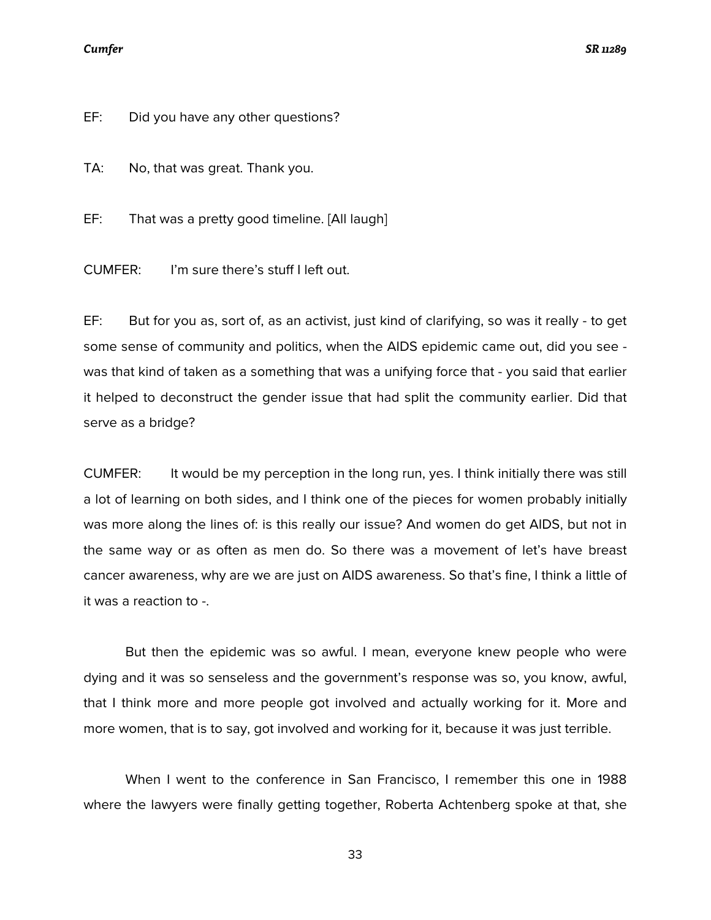### *Cumfer SR 11289*

EF: Did you have any other questions?

TA: No, that was great. Thank you.

EF: That was a pretty good timeline. [All laugh]

CUMFER: I'm sure there's stuff I left out.

EF: But for you as, sort of, as an activist, just kind of clarifying, so was it really - to get some sense of community and politics, when the AIDS epidemic came out, did you see was that kind of taken as a something that was a unifying force that - you said that earlier it helped to deconstruct the gender issue that had split the community earlier. Did that serve as a bridge?

CUMFER: It would be my perception in the long run, yes. I think initially there was still a lot of learning on both sides, and I think one of the pieces for women probably initially was more along the lines of: is this really our issue? And women do get AIDS, but not in the same way or as often as men do. So there was a movement of let's have breast cancer awareness, why are we are just on AIDS awareness. So that's fine, I think a little of it was a reaction to -.

But then the epidemic was so awful. I mean, everyone knew people who were dying and it was so senseless and the government's response was so, you know, awful, that I think more and more people got involved and actually working for it. More and more women, that is to say, got involved and working for it, because it was just terrible.

When I went to the conference in San Francisco, I remember this one in 1988 where the lawyers were finally getting together, Roberta Achtenberg spoke at that, she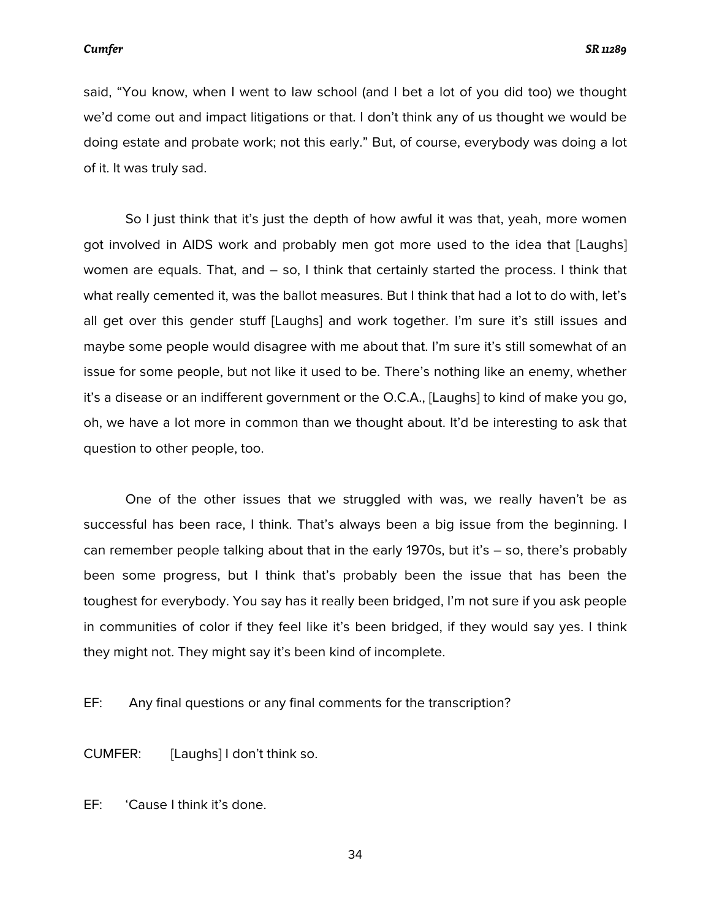said, "You know, when I went to law school (and I bet a lot of you did too) we thought we'd come out and impact litigations or that. I don't think any of us thought we would be doing estate and probate work; not this early." But, of course, everybody was doing a lot of it. It was truly sad.

So I just think that it's just the depth of how awful it was that, yeah, more women got involved in AIDS work and probably men got more used to the idea that [Laughs] women are equals. That, and – so, I think that certainly started the process. I think that what really cemented it, was the ballot measures. But I think that had a lot to do with, let's all get over this gender stuff [Laughs] and work together. I'm sure it's still issues and maybe some people would disagree with me about that. I'm sure it's still somewhat of an issue for some people, but not like it used to be. There's nothing like an enemy, whether it's a disease or an indifferent government or the O.C.A., [Laughs] to kind of make you go, oh, we have a lot more in common than we thought about. It'd be interesting to ask that question to other people, too.

One of the other issues that we struggled with was, we really haven't be as successful has been race, I think. That's always been a big issue from the beginning. I can remember people talking about that in the early 1970s, but it's – so, there's probably been some progress, but I think that's probably been the issue that has been the toughest for everybody. You say has it really been bridged, I'm not sure if you ask people in communities of color if they feel like it's been bridged, if they would say yes. I think they might not. They might say it's been kind of incomplete.

EF: Any final questions or any final comments for the transcription?

CUMFER: [Laughs] I don't think so.

EF: 'Cause I think it's done.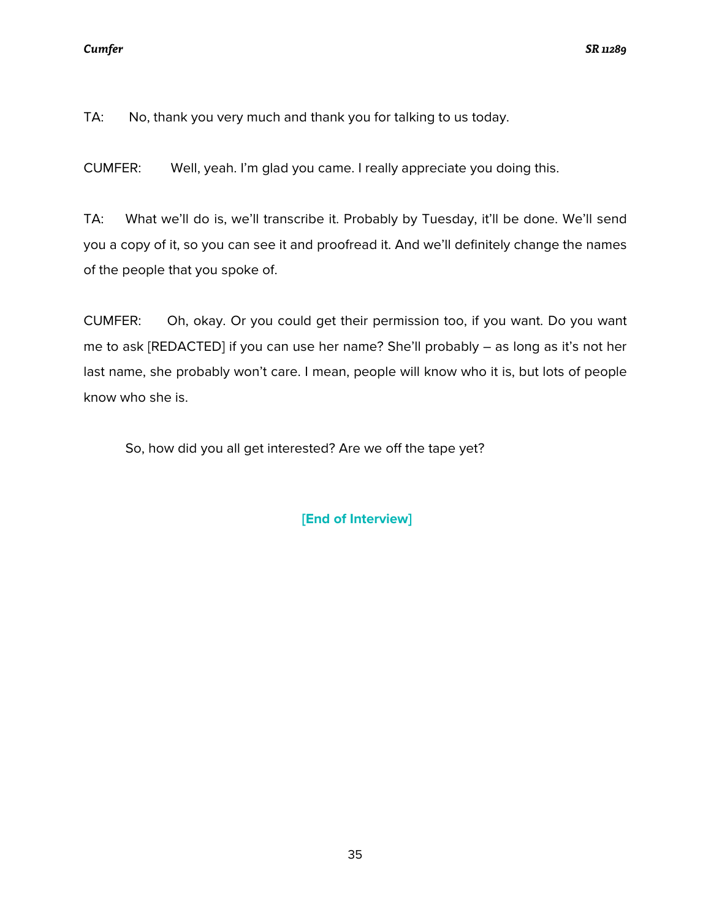TA: No, thank you very much and thank you for talking to us today.

CUMFER: Well, yeah. I'm glad you came. I really appreciate you doing this.

TA: What we'll do is, we'll transcribe it. Probably by Tuesday, it'll be done. We'll send you a copy of it, so you can see it and proofread it. And we'll definitely change the names of the people that you spoke of.

CUMFER: Oh, okay. Or you could get their permission too, if you want. Do you want me to ask [REDACTED] if you can use her name? She'll probably – as long as it's not her last name, she probably won't care. I mean, people will know who it is, but lots of people know who she is.

So, how did you all get interested? Are we off the tape yet?

**[End of Interview]**